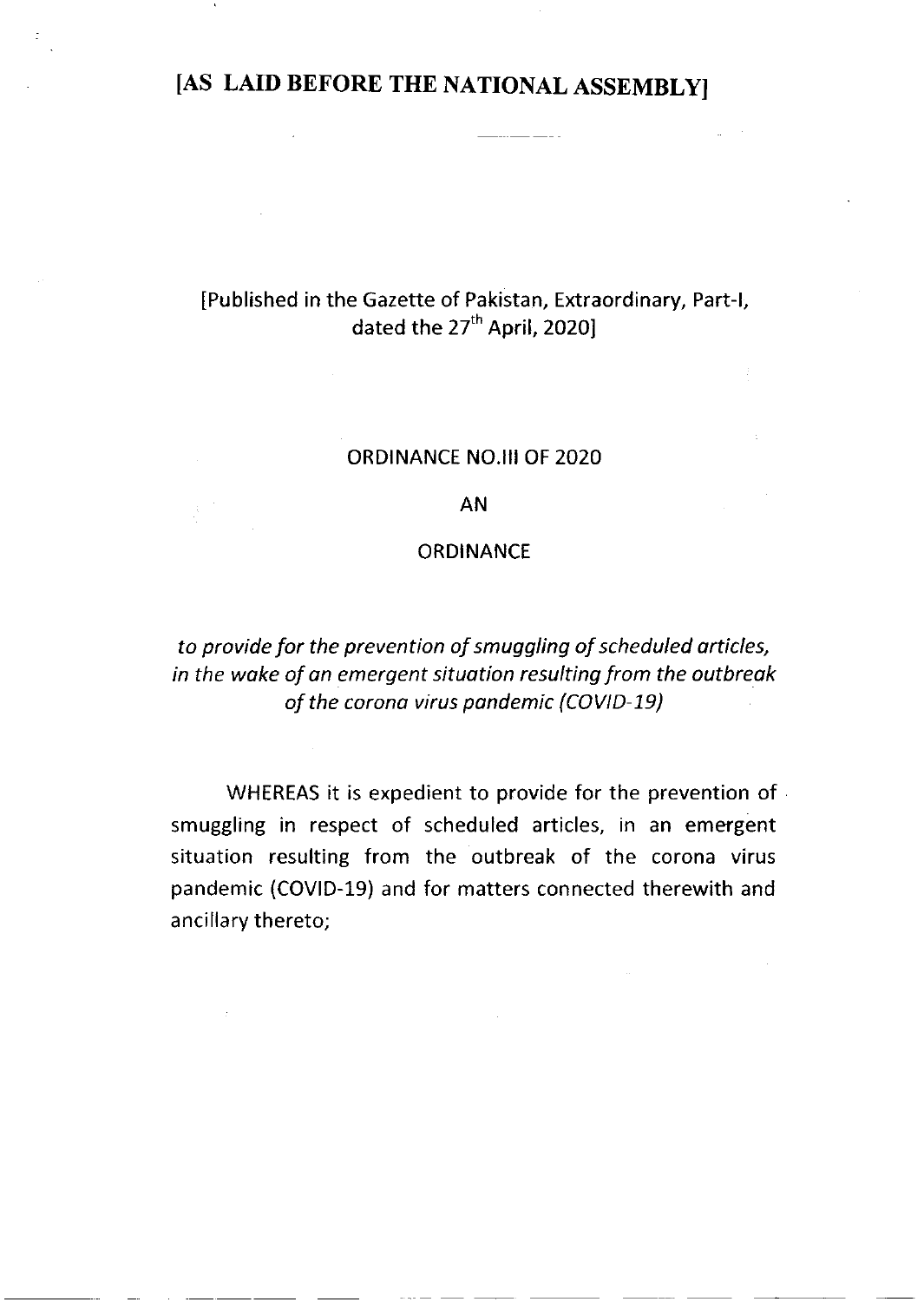## [AS LAID BEFORE THE NATIONAL ASSEMBLY]

### [Published in the Gazette of Pakistan, Extraordinary, Part-1, dated the 27<sup>th</sup> April, 2020]

#### ORDINANCE NO.III OF 2O2O

#### AN

#### **ORDINANCE**

to provide for the prevention of smuggling of scheduled orticles, in the wake of an emergent situation resulting from the outbreak of the corona virus pandemic (COVID-19)

WHEREAS it is expedient to provide for the prevention of smuggling in respect of scheduled articles, in an emergent situation resulting from the outbreak of the corona virus pandemic (COVID-19) and for matters connected therewith and ancillary thereto;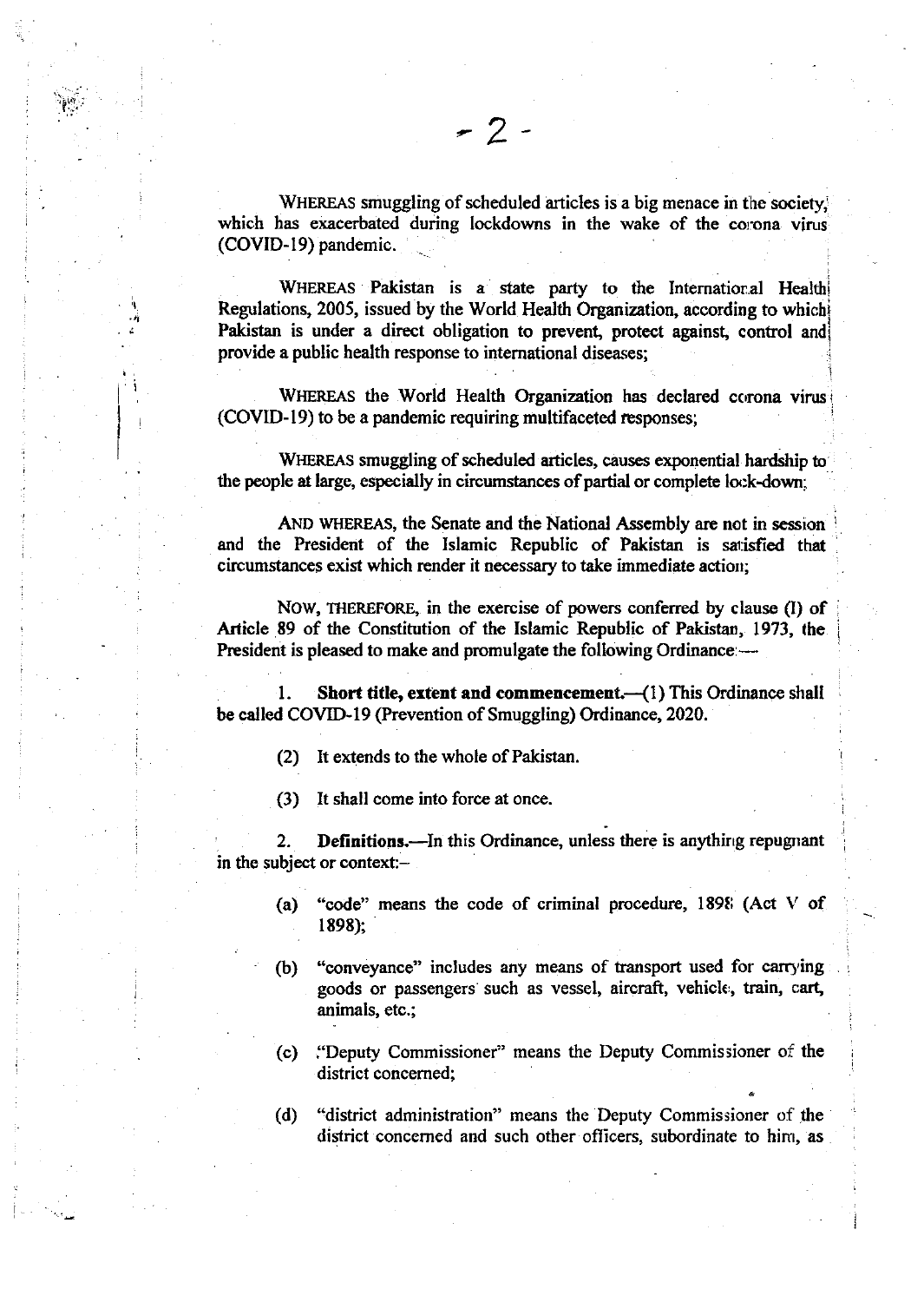l.ui Y.-.

.)i

I I

WHEREAS smuggling of scheduled articles is a big menace in the society. which has exacerbated during lockdowns in the wake of the corona virus (COVID-19) pandemic.

WHEREAS Pakistan is a state party to the International Health Regulations, 2005, issued by the World Health Organization, according to which Pakistan is under a direct obligation to prevent, protect against, control and provide a public health response to international diseases;

WHEREAS the World Health Organization has declared corona virus (COVID-19) to be a pandemic requiring multifaceted responses;

WIEREAS smuggling of scheduled articles, causes exponential hardship to the people at large, especially in circumstances of partial or complete lock-down;

AND WHEREAS, the Senate and the National Assembly are not in session and the President of the Islamic Republic of Pakistan is satisfied that circumstances exist which render it necessary to take immediate action;

NOW, THEREFORE, in the exercise of powers conferred by clause (I) of Article 89 of the Constitution of the Islamic Republic of Pakistan, 1973, the President is pleased to make and promulgate the following Ordinance:-

1. Short title, extent and commencement. (1) This Ordinance shall be called COVID-19 (Prevention of Smuggling) Ordinance, 2020.

- (2) It extends to the whole of Pakistan.
- (3) It shall come into force at once.

2. Definitions.—In this Ordinance, unless there is anything repugnant in the subject or context:-

- (a) "code" means the code of criminal procedure, 1898 (Act V of 1898);
- (b) "conveyance" includes any means of transport used for carrying goods or passengers such as vessel, aircraft, vehicle, train, cart, animals, etc.;
- (c) I'Deputy Commissioner" means the Deputy Commissioner of the district concemed;
- (d) "district administration" means the Deputy Commissioner of the district concerned and such other officers, subordinate to him, as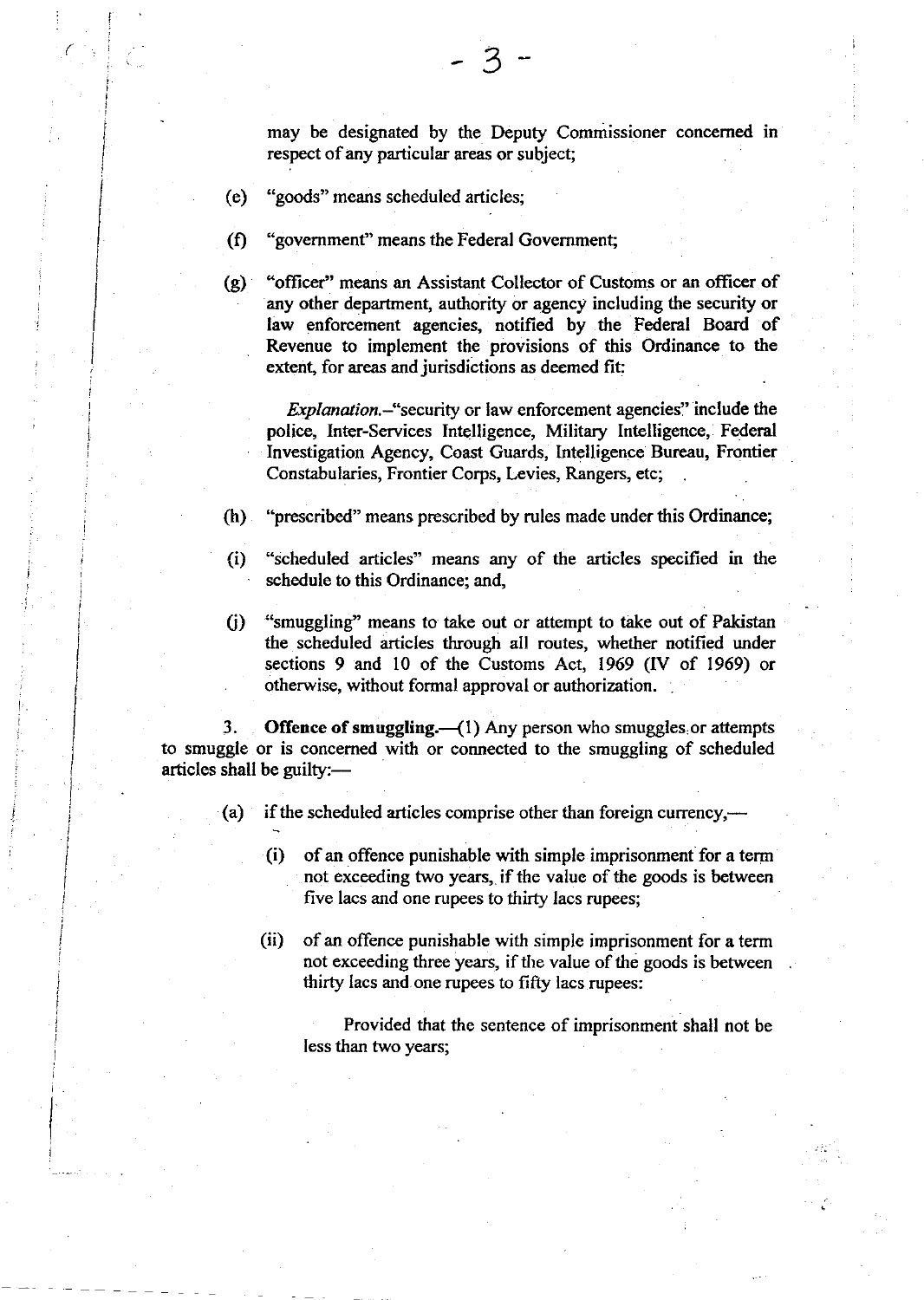may be designated by the Deputy Commissioner concerned in respect of any particular areas or subject;

3

(e) "goods" means scheduled articles;

I

(

I I

I

l i

I i j

i.

I I

- $\Omega$ "government" means the Federal Government;
- $(g)$ 'oflicer" means an Assistant Collector of Customs or an officer of any other department, authority or agency including the security or law enforcement agencies, notified by the Federal Board of Revenue to implement the piovisions of this Ordinance to the extent, for areas and jurisdictions as deemed fit:

Explanation.-"security or law enforcement agencies" include the police, Inter-Services Intelligence, Military Intelligence, Federal Investigation Agency, Coast Guards, Intelligence Bureau, Frontier Constabularies, Frontier Corps, Levies, Rangers, etc;

- (h) "prescribed" means prescribed by rules made under this Ordinance;
- (i) "scheduled articles" means any of the articles specified in the schedule to this Ordinance; and,
- C) "smuggling" means to take out or attempt to take out of Pakistan the scheduled articles through all routes, whether notified under sections 9 and 10 of the Customs Act, 1969 (IV of 1969) or otherwise, without formal approval or authorization.

3. Offence of smuggling. $({}^{1})$  Any person who smuggles or attempts to smuggle or is concemed with or connected to the smuggling of scheduled articles shall be guilty:-

- (a) if the scheduled articles comprise other than foreign currency,—
	- (i) of an offence punishable with simple imprisonment for a term not exceeding two years, if the value of the goods is between five lacs and one rupees to thirfy lacs rupees;
	- (ii) of an offence punishable with simple imprisonment for a term not exceeding three years, if the value of the goods is between thirty lacs and.one rupees to fifty lacs rupees:

Provided that the sentence of imprisonment shall not be Iess than two years;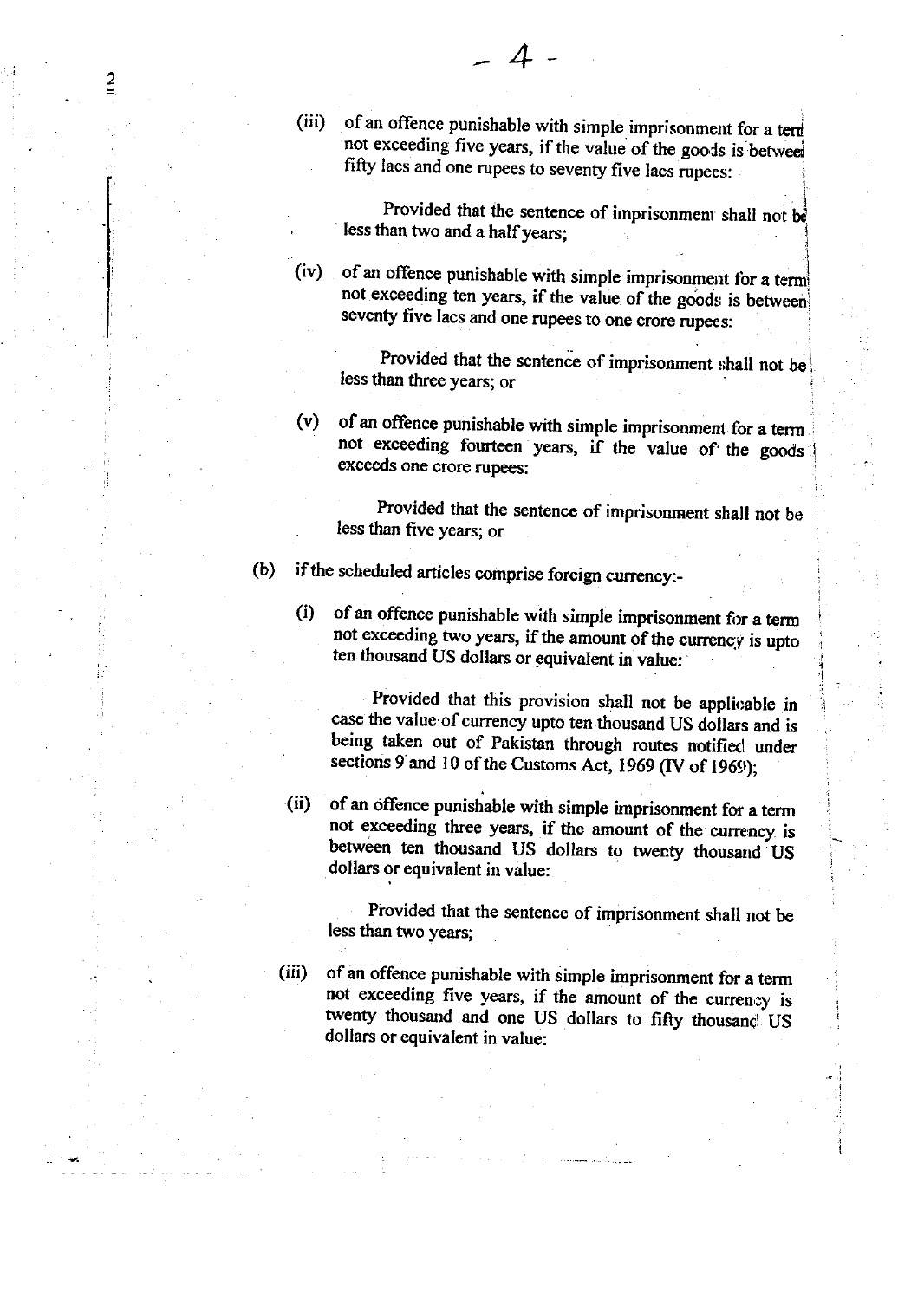(iii) of an offence punishable with simple imprisonment for a term not exceeding five years, if the value of the goods is between fifty lacs and one rupees to seventy five lacs rupees:

Provided that the sentence of imprisonment shall not be less than two and a half years;

3

of an offence punishable with simple imprisonment for a termi not exceeding ten years, if the value of the goods is between seventy five lacs and one rupees to one crore rupees:  $(iv)$ 

Provided that the sentence of imprisonment shall not be less than three years; or

(v) of an offence punishable with simple imprisonment for a term not exceeding fourteen years, if the value of the goods exceeds one crore rupees:

Provided that the sentence of imprisonment shall not be less than five years; or

- (b) if the scheduled articles comprise foreign currency:-
	- (i) of an offence punishable with simple imprisonment for a term not exceeding two years, if the amount of the currency is upto ten thousand US dollars or equivalent in value:

Provided that this provision shall not be applicable in case the value of currency upto ten thousand US dollars and is being taken out of Pakistan through routes notified under sections 9 and 10 of the Customs Act, 1969 (IV of 1969);

(ii) of an offence punishable with simple imprisonment for a term not exceeding three years, if the amount of the currency is between ten thousand US dollars to twenty thousand US dollars or equivalent in value:

Provided that the sentence of imprisonment shall not be less than two years;

(iii)

2

of an offence punishable with simple imprisonment for a term not exceeding five years, if the amount of the currency is twenty thousand and one US dollars to fifty thousand US dollars or equivalent in value: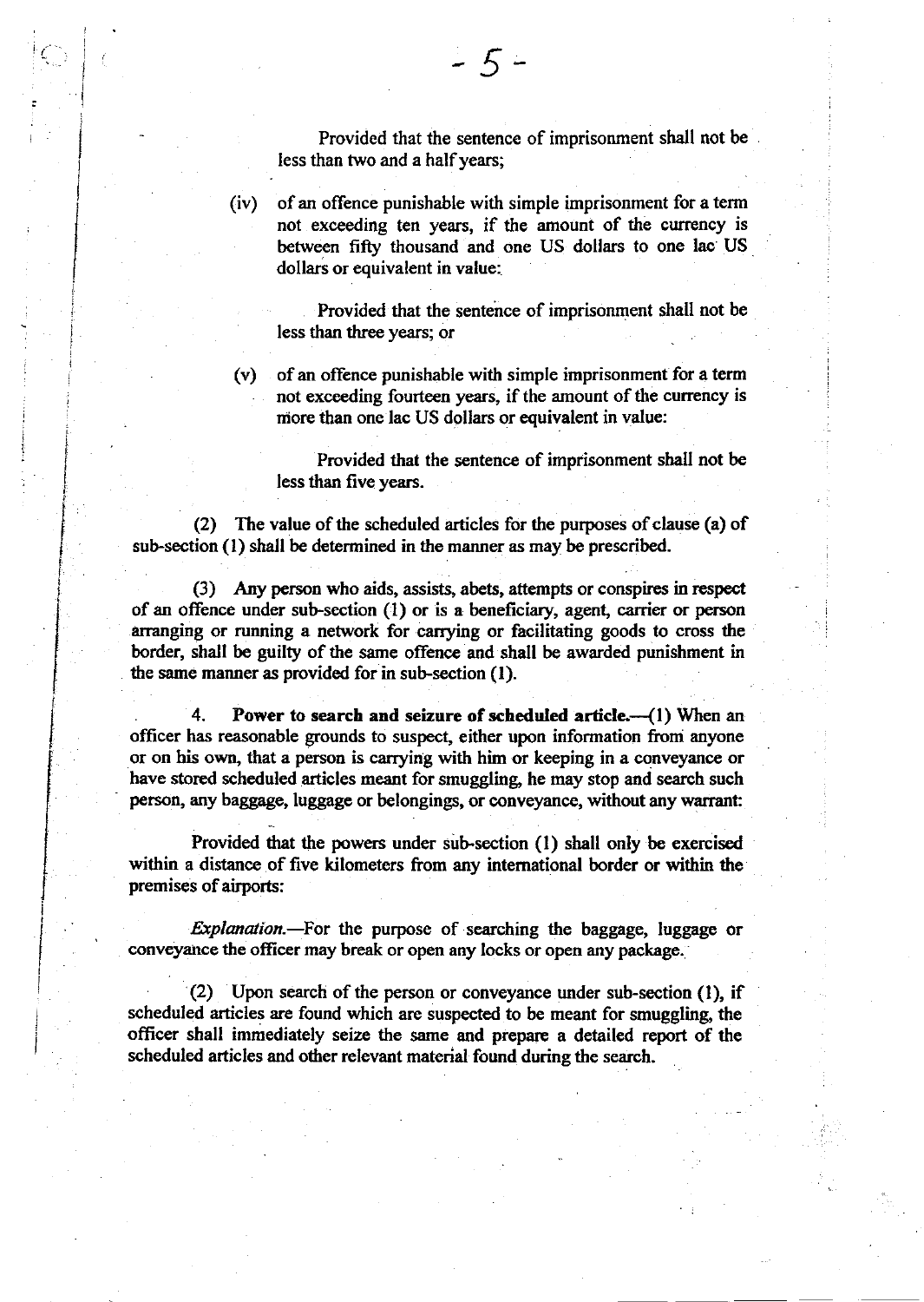Provided that the sentence of imprisonment shall not be less than two and a half years;

(iv) of an offence punishable with simple imprisonment for a term not exceeding ten years, if the amount of the currency is between fiffy thousand and one US dollars to one lac US dollars or equivalent in value:

Provided that the sentence of imprisonment shall not be less than three years; or

(v) of an offence punishable with simple imprisonment for a term not exceeding fourteen years, if the amount of the currency is niore than one lac US dollars or equivalent in value:

Provided that the sentence of imprisonment shall not be less than five years.

(2) The value of the scheduled articles for the purposes of clause (a) of sub-section (1) shall be determined in the manner as may be prescribed.

(3) Any person who aids, assists, abets, attempts or conspires in respect of an offence under sub-section  $(1)$  or is a beneficiary, agent, carrier or person arranging or running a network for carrying or facilitating goods to cross the border, shall be guilty of the same offence and shall be awarded punishment in the same manner as provided for in sub.section (l).

4. Power to search and seizure of scheduled article. $-(1)$  When an officer has reasonable grounds to suspect, either upon information from anyone or on his own, that a person is carrying with him or keeping in a conveyance or have stored scheduled articles meant for smuggling, he may stop and search such person, any baggage, luggage or belongings, or conveyance, without any warrant:

Provided that the powers under sub-section (1) shall only be exercised within a distance of five kilometers from any intemational border or within the premises of airports:

Explanation.-For the purpose of searching the baggage, luggage or conveyance the officer may break or open any locks or open any package.

(2) Upon search of the person or conveyance under sub-section (l), if scheduled articles are found which are suspected to be meant for smuggling, the officer shall immediately seize the same and prepare a detailed report of the scheduled articles and other relevant material found during the search.

i I

I I

I I I i I I I i I j i i I

I t I I I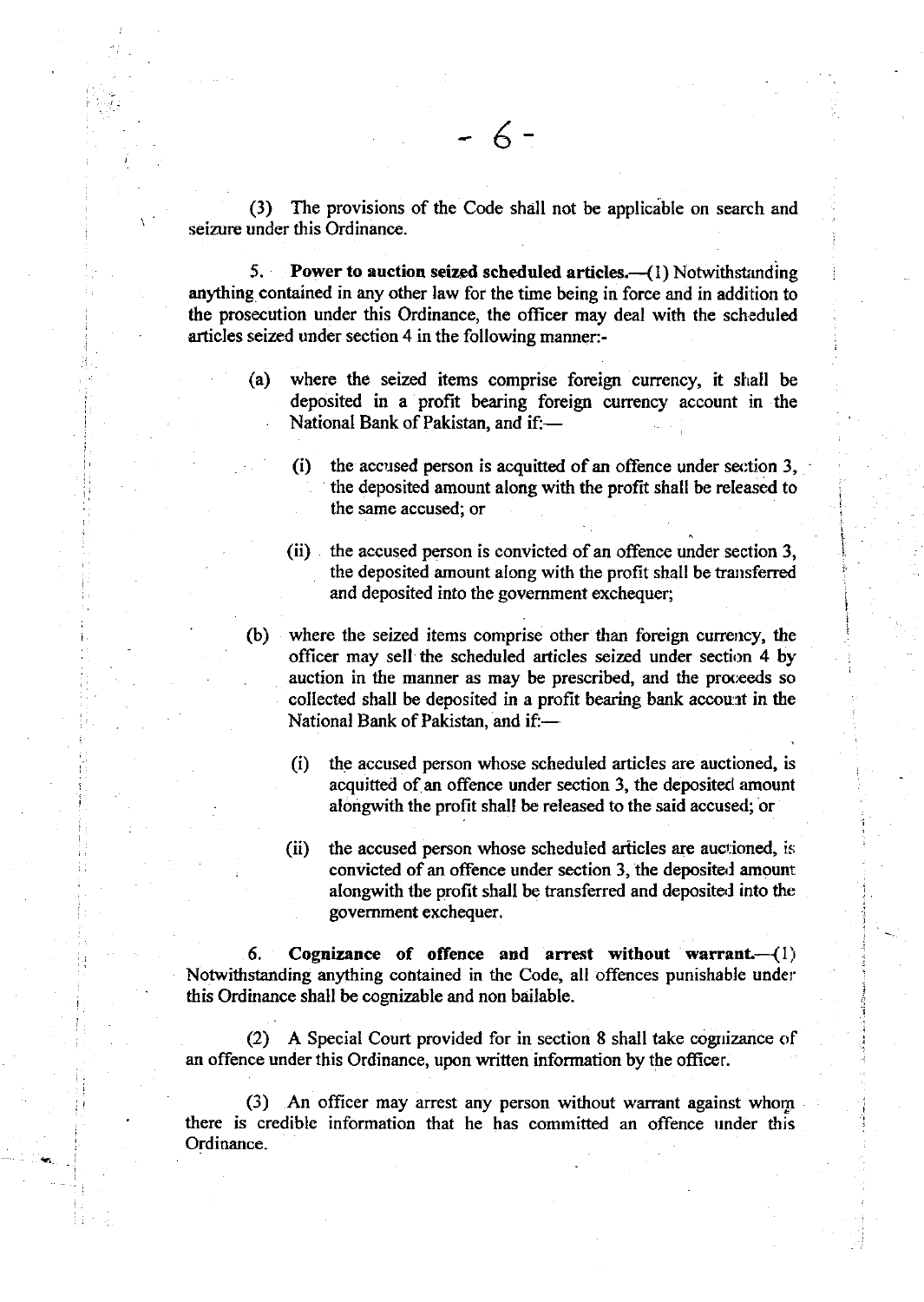(3) The provisions of the Code shall not be applicable on search and seizure under this Ordinance.

5. Power to auction seized scheduled articles. $-$ (1) Notwithstanding anything contained in any other law for the time being in force and in addition to the prosecution under this Ordinance, the officer may deal with the scheduled articles seized under section 4 in the following manner:-

- (a) where the seized items comprise foreign currency, it shall be deposited in a profit bearing foreign curency account in the National Bank of Pakistan, and if:-
	- (i) the accused person is acquitted of an offence under section  $3$ , the deposited amount along with the profit shall be rcleased to the same accused; or

i i

i

i

- (ii) the accused person is convicted of an offence under section 3, the deposited amount along with the profit shall be transferred and deposited into the government exchequer;
- (b) where the seized items comprise other than foreign currency, the officer may sell the scheduled articles seized under section 4 by auction in the manner as may be prescribed, and the proceeds so collected shall be deposited in a profit bearing bank account in the National Bank of Pakistan, and if:-
	- (i) the accused person whose scheduled articles are auctioned, is acquitted of an offence under section 3, the deposited amount alongwith the profit shall be released to the said accused; or
	- (ii) the accused person whose scheduled articles are auctioned, is convicted of an offence under section 3, the deposital amount alongwith the profit shall be transferred and deposited into the govemment exchequer.

6. Cognizance of offence and arrest without warrant.  $(1)$ Notwithstanding anything contained in the Code, all offences punishable under this Ordinance shall be cognizable and non bailable.

(2) A Special Court provided for in section 8 shall take cognizance of an offence under this Ordinance, upon written information by the ofticer.

(3) An oflicer may arrest any person without warrant against whom there is credible information that he has committed an offence under this Ordinance.

ir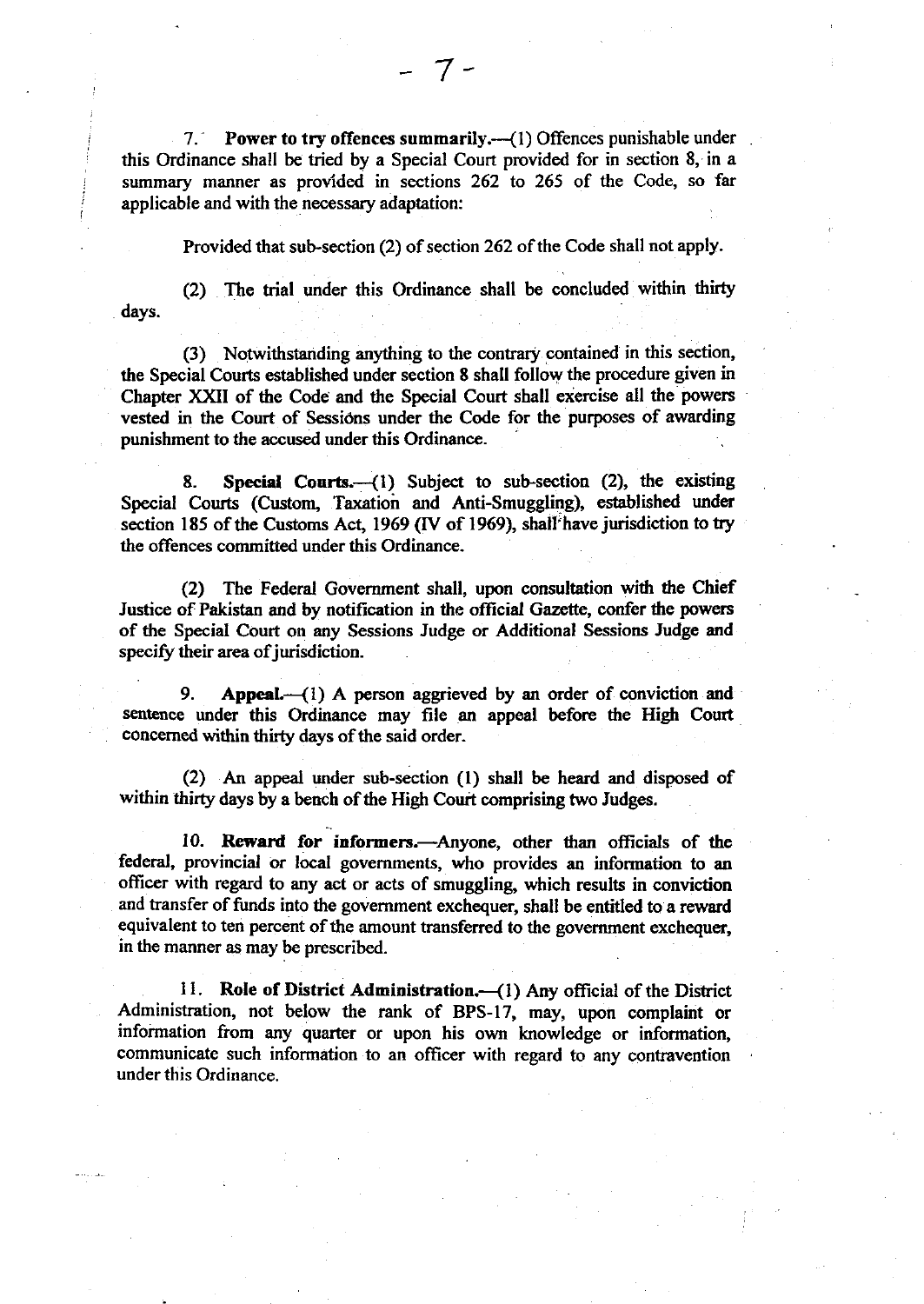7. Power to try offences summarily.—(1) Offences punishable under this Ordinance shall be tried by a Special Court provided for in section 8, in a summary manner as provided in sections 262 to 265 of the Code, so far applicable and with the necessary adaptation:

- 7-

Provided that sub-section (2) of section 262 of the Code shall not apply.

(2) The trial under this Ordinance shall be concluded within thirty days.

(3) Notwithstanding anything to the contrary contained in this section, the Special Courts established under section 8 shall follow the procedure given in Chapter XXII of the Code and the Special Court shall exercise all the powers vested in the Court of Sessions under the Code for the purposes of awarding punishment to the accused under this Ordinance.

8. Special Courts. (1) Subject to sub-section (2), the existing Special Courts (Custom, Taxation and Anti-Smuggling), established under section 185 of the Customs Act, 1969 (IV of 1969), shall have jurisdiction to try the offences committed under this Ordinance.

(2) The Federal Government shall, upon consultation with the Chief Justice of Pakistan and by notification in the oflicial Gazette, confer the powers of the Special Court on any Sessions Judge or Additional Sessions Judge and specify their area of jurisdiction.

9. Appeal. (1) A person aggrieved by an order of conviction and sentence under this Ordinance may file an appeal before the High Court concemed within thirty days of the said order.

(2) An appeal under sub-section (l) shall be heard and disposed of within thirty days by a bench of the High Court comprising two Judges.

10. Reward for informers.-Anyone, other than officials of the federal, provincial or local governments, who provides an information to an officer with regard to any act or acts of smuggling, which results in conviction and transfer of funds into the government exchequer, shall be entitled to a reward equivalent to ten percent of the amount transferred to the government exchequer, in the manner as may be prescribed.

11. Role of District Administration. (1) Any official of the District Administration, not below the rank of BPS-17, may, upon complaint or information from any quarter or upon his own knowledge or information, communicate such information to an officer with regard to any contravention under this Ordinance.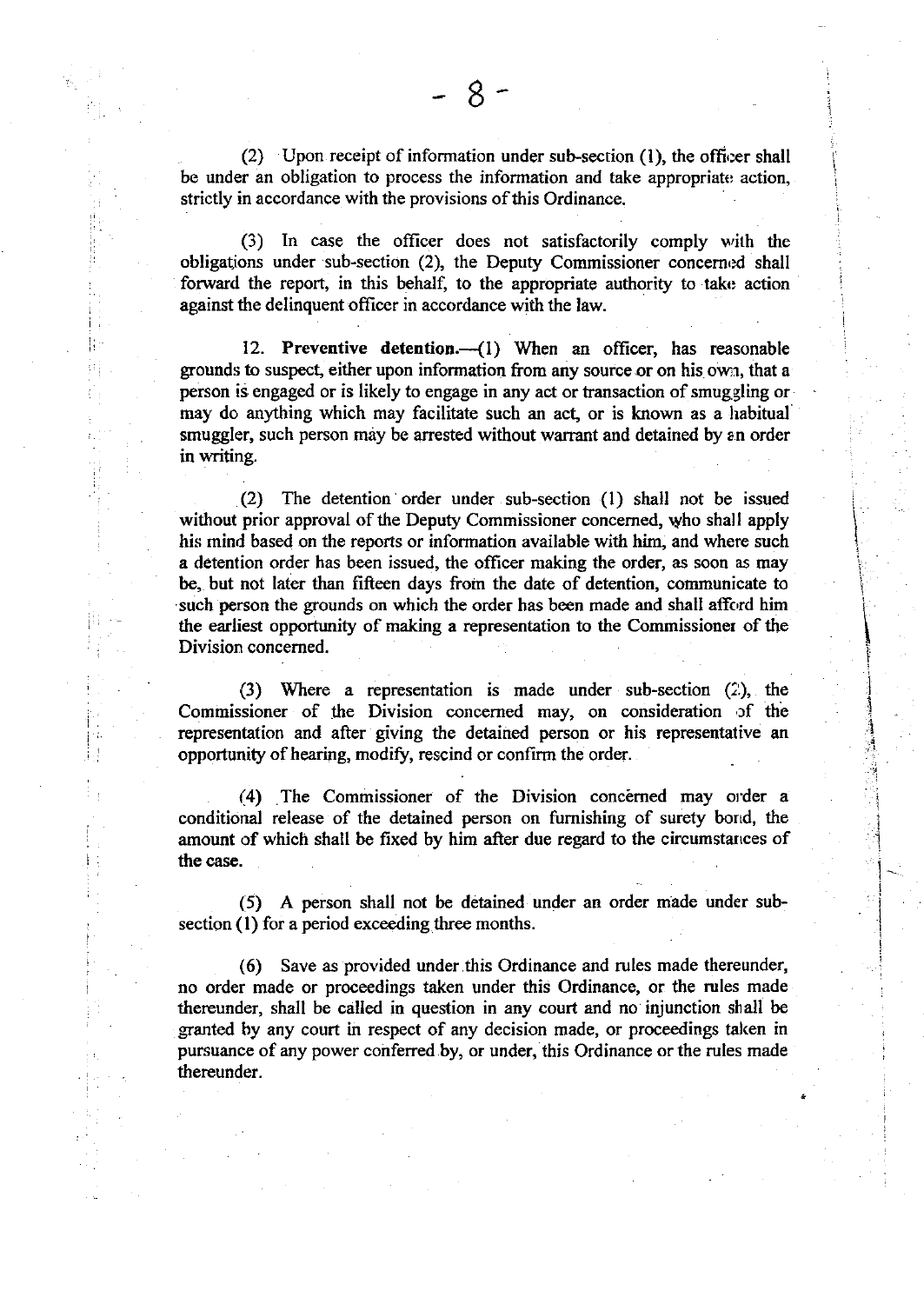(2) Upon receipt of information under sub-section  $(1)$ , the officer shall be under an obligation to process the information and take appropriate action, strictly in accordance with the provisions of this Ordinance.

(3) In case the officer does not satisfactorily comply with the obligations under sub-section (2), the Deputy Commissioner concerned shall forward the report, in this behalf, to the appropriate authority to take action against the delinquent officer in accordance with the law.

12. Preventive detention.-- (1) When an officer, has reasonable grounds to suspect, either upon information from any source or on his own, that a person is engaged or is likely to engage in any act or transaction of smuggling or may do anything which may facilitate such an act, or is known as a habitual smuggler, such person may be arrested without warrant and detained by an order in writing.

(2) The detention order under sub-section (1) shall not be issued without prior approval of the Deputy Commissioner concerned, who shall apply his mind based on the reports or information availabie with him, and where such a detention order has been issued, the officer making the order, as soon as may be, but not later than fifteen days from the date of detention, communicate to such person the grounds on which the order has been made and shall afford him the earliest opportunity of making a representation to the Commissioner of the Division concerned.

i i I I I i

I

 $\frac{1}{2}$ I ! l in the color I 'I ;  $\frac{1}{2}$ 

> i i I l I I I I

(3) Where a representation is made under sub-section  $(2)$ , the Commissioner of the Division concerned may, on consideration of the representation and after giving the detained person or his representative an opportunity of hearing, modify, rescind or confirm the order.

(4) The Commissioner of the Division concerned may order a conditional release of the detained person on furnishing of surety borrd, the amount of which shall be fixed by him after due regard to the circumstances of the case.

(5) A person shall not be detained under an order made under subsection (l) for a period exceeding three months.

(6) Save as provided under this Ordinance and rules made thereunder, no order made or proceedings taken under this Ordinance, or the rules made thereunder, shall be called in question in any court and no injunction shall be granted by any court in respect of any decision made, or proceedings taken in pursuance of any power conferred by, or under, this Ordinance or the rules made thereunder.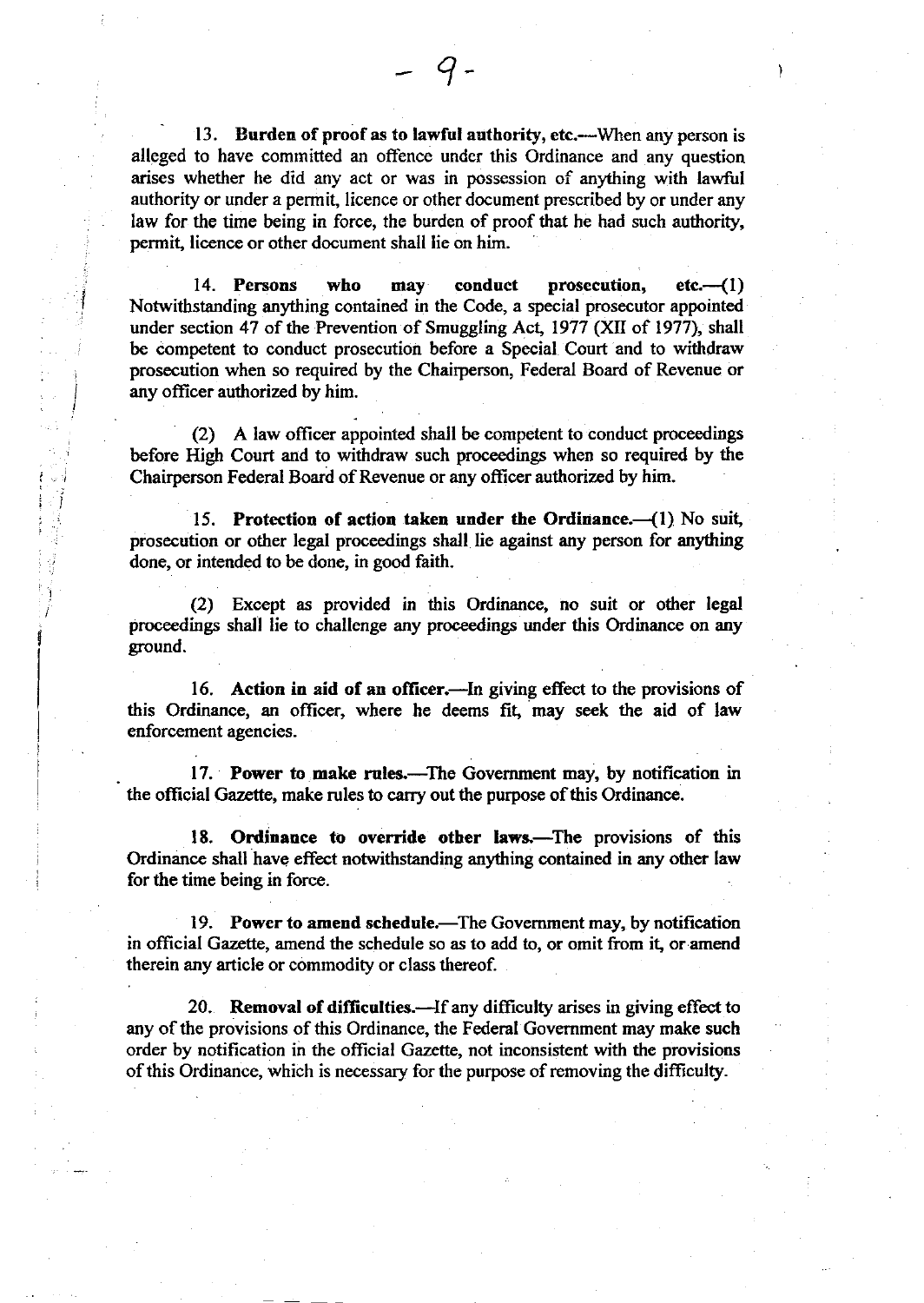13. Burden of proof as to lawful authority, etc.—When any person is alleged to have committed an offence under this Ordinance and any question arises whether he did any act or was in possession of anything with lawful authority or under a permit, licence or other document prescribed by or under any law for the time being in force, the burden of proof that he had such authority, permit, licence or other document shall lie on him.

q

14. Persons who may conduct prosecution, etc.--(1) Notwithstanding anything containd in the Code, a special prosecutor appointed under section 47 of the Prevention of Smuggling Act, 1977 (XII of 1977), shall be competent to conduct prosecution before a Special Court and to withdraw prosecution when so required by the Chairperson, Federal Board of Revenue or any officer authorized by him.

I

I

I

fl

(2) A law officer appointed shall be competent to conduct proceedings before High Court and to withdraw such proceedings when so required by the Chairperson Federal Board of Revenue or any ofticer authorized by him.

15. Protection of action taken under the Ordinance. $({}1)$  No suit, prosecution or other legal proceedings shall Iie against any person for anything done, or intended to be done, in good faith.

(2) Except as provided in this Ordinance, no suit or other legal proceedings shali lie to challenge any proceedings under this Ordinance on any ground.

16. Action in aid of an officer.—In giving effect to the provisions of this Ordinance, an officer, where he deems fit, may seek the aid of law enforcernent agencies.

17. Power to make rules.—The Government may, by notification in the official Gazette, make rules to carry out the purpose of this Ordinance.

18. Ordinance to override other laws.—The provisions of this Ordinance shall have effect notwithstanding anything contained in any other law for the time being in force.

19. Power to amend schedule.—The Government may, by notification in official Gazette, amend the schedule so as to add to, or omit from it, or amend therein any article or commodity or class thereof.

20. Removal of difficulties.—If any difficulty arises in giving effect to any of the provisions of this Ordinance, the Federal Government may make such order by notification in the official Gazelte, not inconsistent with the provisions of this Ordinance, which is necessary for the purpose of removing the difficulty.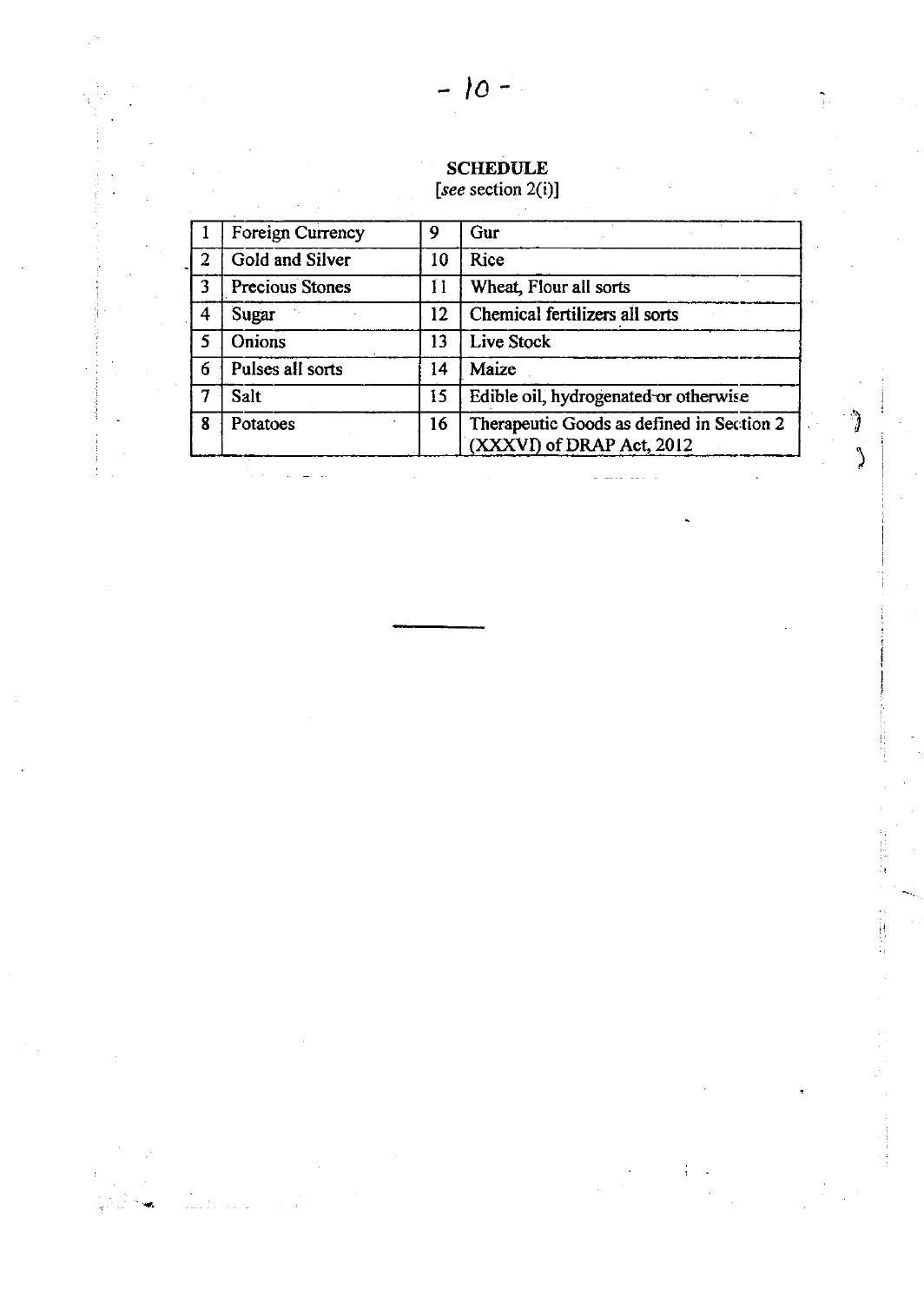# **SCHEDULE**<br>[see section 2(i)]

|                | <b>Foreign Currency</b> | 9  | Gur                                                                    |
|----------------|-------------------------|----|------------------------------------------------------------------------|
| $\overline{2}$ | Gold and Silver         | 10 | <b>Rice</b>                                                            |
| 3              | Precious Stones         | 11 | Wheat, Flour all sorts                                                 |
| 4              | Sugar                   | 12 | Chemical fertilizers all sorts                                         |
| 5              | Onions                  | 13 | Live Stock                                                             |
| 6              | Pulses all sorts        | 14 | Maize                                                                  |
|                | Salt                    | 15 | Edible oil, hydrogenated or otherwise                                  |
| 8              | Potatoes                | 16 | Therapeutic Goods as defined in Section 2<br>(XXXVI) of DRAP Act, 2012 |

 $\hat{ } \;$ 

 $\lambda$ 

E<br>H

计计算符

4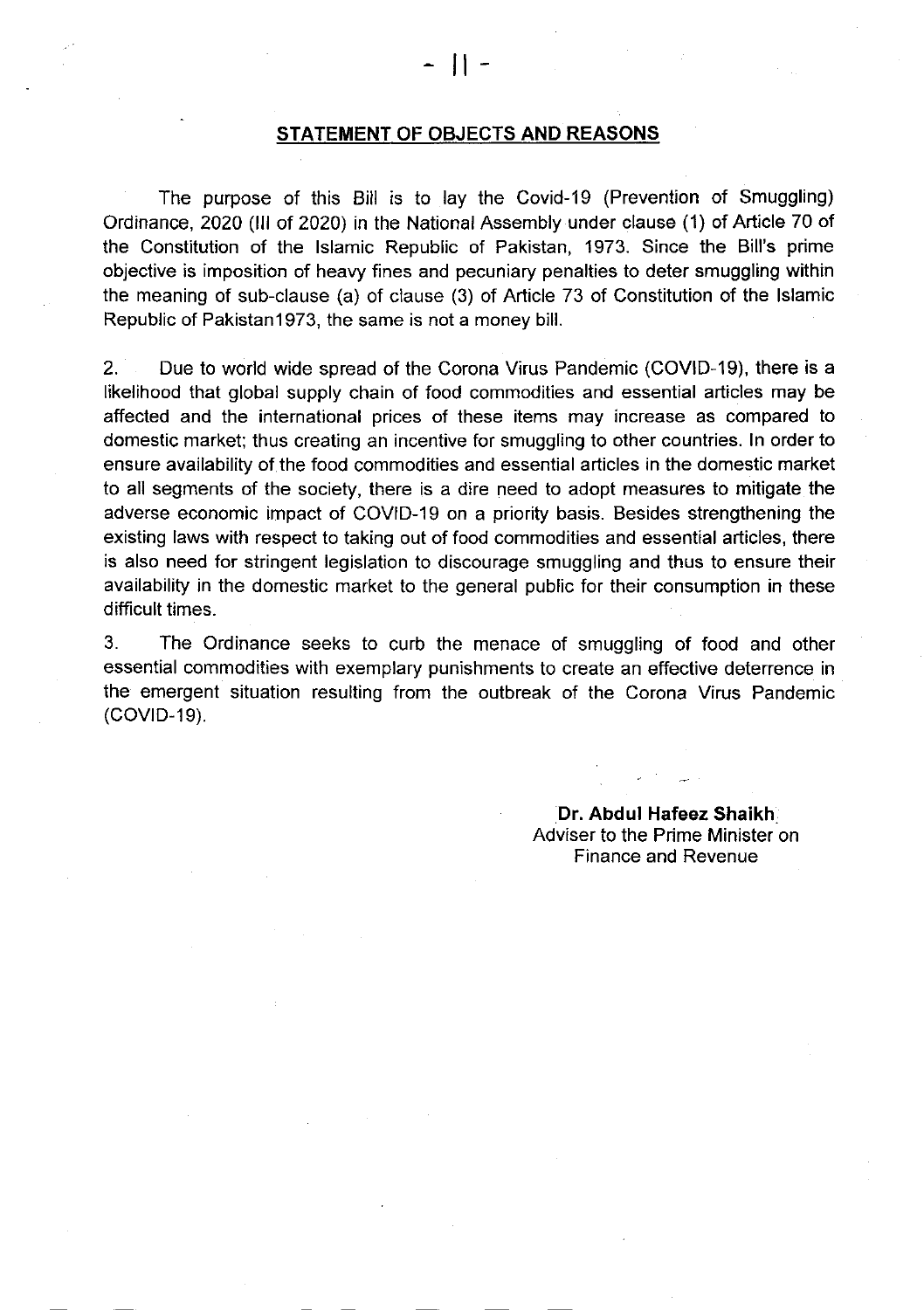#### STATEMENT OF OBJECTS AND REASONS

The purpose of this Bill is to lay the Covid-19 (Prevention of Smuggling) Ordinance, 2020 (lll of 2020) in the National Assembly under clause (1) of Article 70 of the Constitution of the lslamic Republic of Pakistan, 1973. Since the Bill's prime objective is imposition of heavy fines and pecuniary penalties to deter smuggling within the meaning of sub-clause (a) of clause (3) of Article 73 of Constitution of the lslamic Republic of Pakistan1973, the same is not a money bill.

2. Due to world wide spread of the Corona Virus Pandemic (COVID-19), there is <sup>a</sup> likelihood that global supply chain of food commodities and essential articles may be affected and the international prices of these items may increase as compared to domestic market; thus creating an incentive for smuggling to other countries. ln order to ensure availability of the food commodities and essential articles in the domestic market to all segments of the society, there is a dire need to adopt measures to mitigate the adverse economic impact of COVID-19 on a priority basis. Besides strengthening the existing laws with respect to taking out of food commodities and essential articles, there is also need for stringent legislation to discourage smuggling and thus to ensure their availability in the domestic market to the general public for their consumption in these difficult times.

3. The Ordinance seeks to curb the menace of smuggling of food and other essential commodities with exemplary punishments to create an effective deterrence in the emergent situation resulting from the outbreak of the Corona Virus Pandemic (COVID-19).

> Dr. Abdul Hafeez Shaikh Adviser to the Prime Minister on Finance and Revenue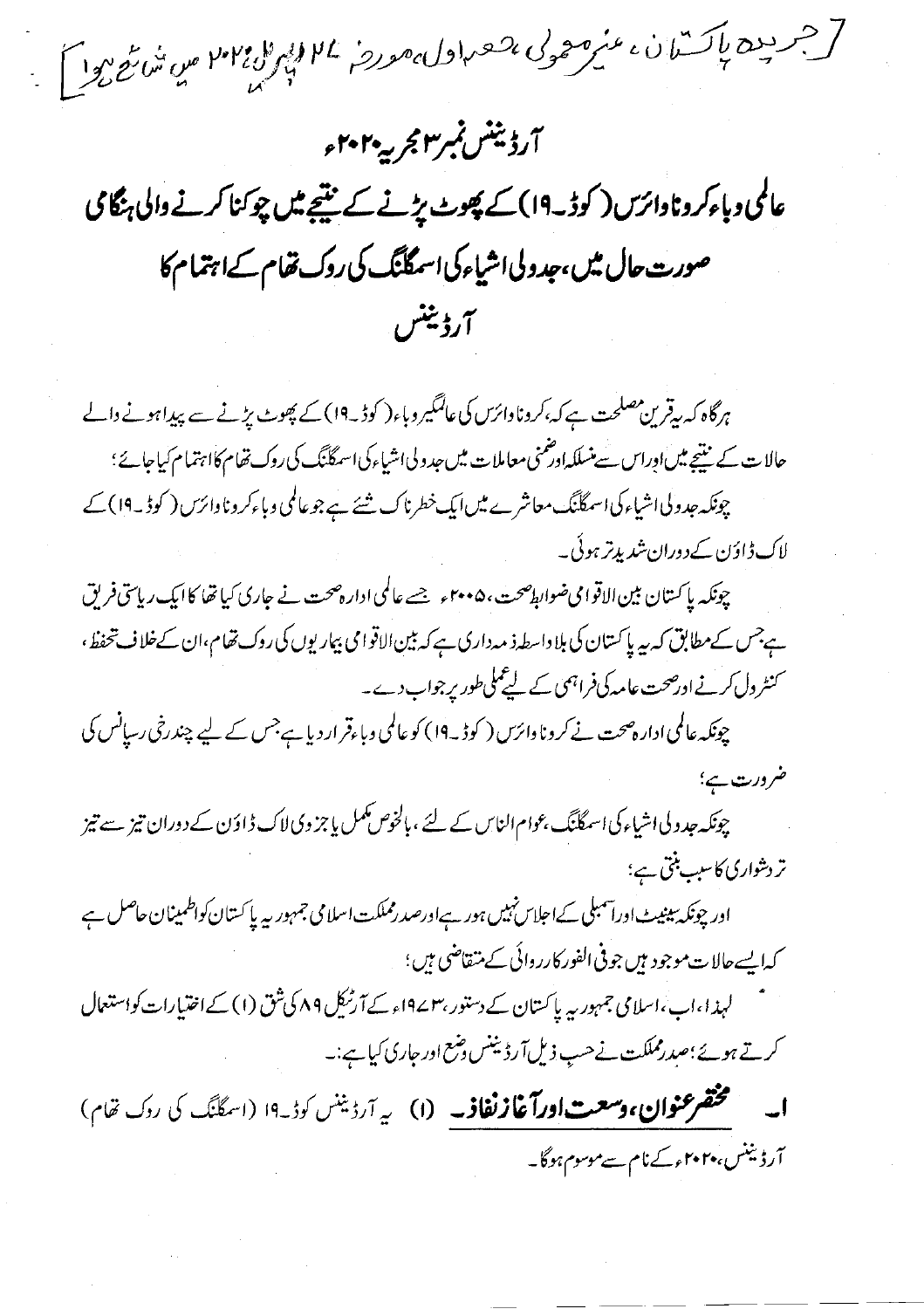[جريده باكتران، من موجد لى مصر اول معروض الاله المائة الأمير المن شائع الال آرڈیننس نمبر۳ مجربہہ۲۰۲ء عالمی وباءکر وناوائرس ( کوڈ ۔19) کے پھوٹ پڑنے کے نتیجے میں چوکنا کرنے والی ہنگامی صورت حال میں،جدولی اشیاء کی اسمگانگ کی روک تھام کےاہتمام کا آرڈینٹس

ہرگاہ کہ بیقرین مصلحت ہے کہ،کروناوائرس کی عالمگیر وباء( کوڈیہ1) کے پھوٹ پڑنے سے پیداہونے دالے حالات کے نتیجے میںاوراس سے منسلکہاور ممنی معاملات میں جدولی اشیاء کی اسمگلنگ کی روک تھام کااہتمام کیاجائے؛ چونکہ جدولیااشیاء کی اسمگلنگ معاشرے میں ایک خطرناک شئے ہے جو عالمی وباءکر وناوائرس ( کوڈ ۔ 19 ) کے لاک ڈاؤن کےدوران شدیدتر ہوئی۔

چونکہ پاکستان بین الاقوامی ضوابط صحت، ۴۰۰۵ء جسے عالمی ادارہ صحت نے جاری کیا تھا کا ایک ریاستی فریق ہےجس کےمطابق کہ بیہ پاکستان کی بلا داسطہ ذ مہ داری ہے کہ بین الاقوامی بیار یوں کی روک تھام،ان کےخلاف تحفظ، کنٹر دل کرنے اورصحت عامد کی فراہمی کے لیے مکی طور پر جواب دے۔

چونکہ عالمی ادارہ صحت نے کرونا دائرس ( کوڈ ۔ ۱۹) کو عالمی وباءقرار دیا ہے جس کے لیے چندرخی رسیانس کی ضر درت ہے؛

چونکہ جدولی اشیاءکی اسمگانگ ،عوام الناس کے لئے ،بالخوص کمل یا جزوی لاک ڈاؤن کے دوران تیز سے تیز تر دشواری کاسب بنتی ہے؛

اور چونکہ بیٹیٹ اوراسمبلی کےاحلاس نہیں ہور ہےاورصدرمملکت اسلامی جمہوریہ یا کستان کواظمینان حاصل ہے كەاپسە حالات موجود ہیں جوفی الفور کارروائی کے متقاضی ہیں ؛

لہذا،اب،اسلامی جمہور یہ پاکستان کے دستور،۳سے19<sub>ء</sub> کے آرٹیکل ۸۹ کی شق (۱) کے اختیارات کواستعال کرتے ہوئے؛صدرمملکت نے حسب ذیل آرڈیننس دشع اور جاری کیا ہے:۔

مختصر عنوان، وسعت اورآغازنغاذ به (۱) به آردینس کود ۱۹ (اسکانگ کی روک تقام) آرڈیننس،۲۰۲۰ءکےنام سےموسوم ہوگا۔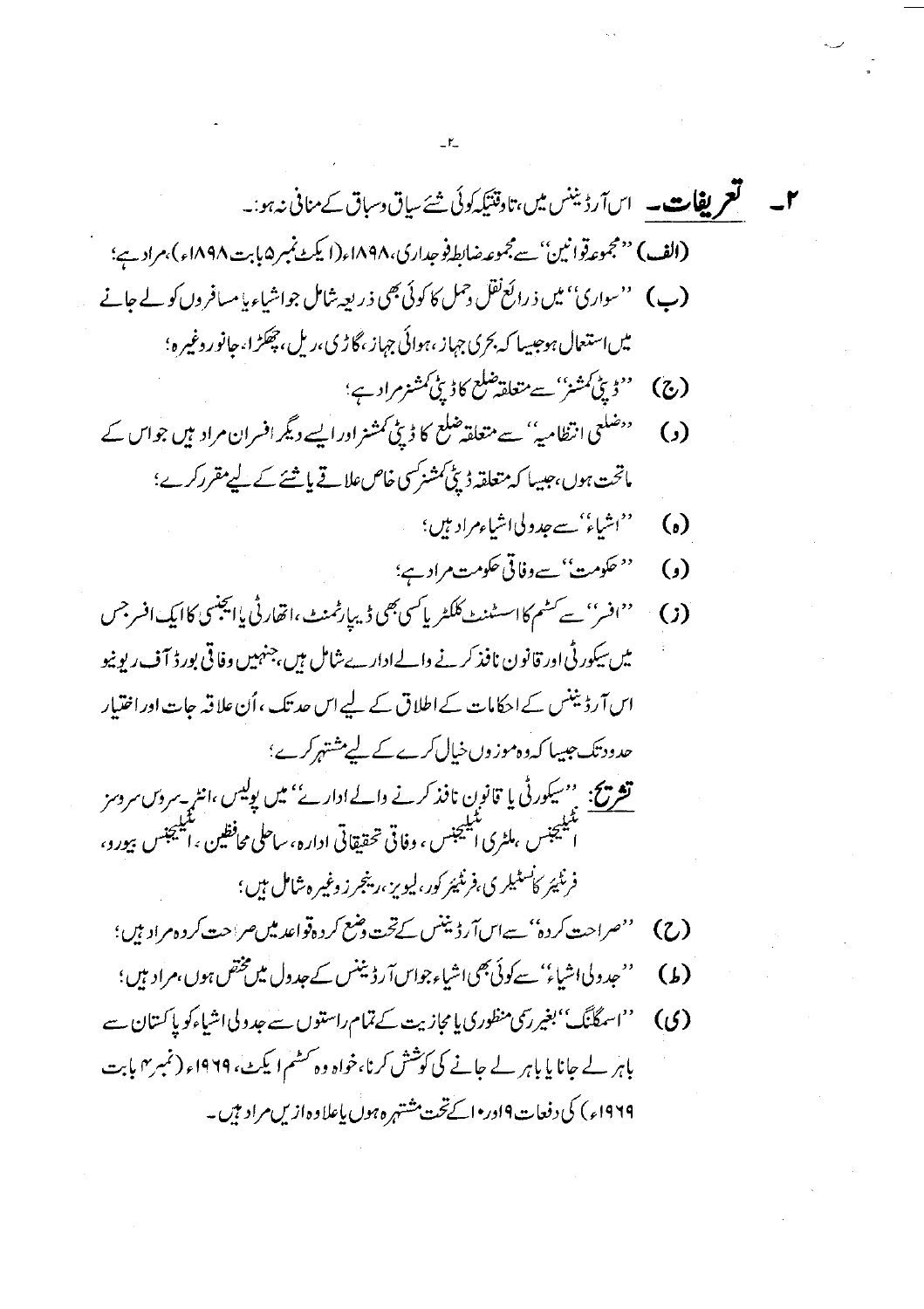1-  
\n
$$
\mathbf{F}_{1,2} = \sum_{j=1}^{n} \sum_{j=1}^{n} \sum_{j=1}^{n} \sum_{j=1}^{n} \sum_{j=1}^{n} \sum_{j=1}^{n} \sum_{j=1}^{n} \sum_{j=1}^{n} \sum_{j=1}^{n} \sum_{j=1}^{n} \sum_{j=1}^{n} \sum_{j=1}^{n} \sum_{j=1}^{n} \sum_{j=1}^{n} \sum_{j=1}^{n} \sum_{j=1}^{n} \sum_{j=1}^{n} \sum_{j=1}^{n} \sum_{j=1}^{n} \sum_{j=1}^{n} \sum_{j=1}^{n} \sum_{j=1}^{n} \sum_{j=1}^{n} \sum_{j=1}^{n} \sum_{j=1}^{n} \sum_{j=1}^{n} \sum_{j=1}^{n} \sum_{j=1}^{n} \sum_{j=1}^{n} \sum_{j=1}^{n} \sum_{j=1}^{n} \sum_{j=1}^{n} \sum_{j=1}^{n} \sum_{j=1}^{n} \sum_{j=1}^{n} \sum_{j=1}^{n} \sum_{j=1}^{n} \sum_{j=1}^{n} \sum_{j=1}^{n} \sum_{j=1}^{n} \sum_{j=1}^{n} \sum_{j=1}^{n} \sum_{j=1}^{n} \sum_{j=1}^{n} \sum_{j=1}^{n} \sum_{j=1}^{n} \sum_{j=1}^{n} \sum_{j=1}^{n} \sum_{j=1}^{n} \sum_{j=1}^{n} \sum_{j=1}^{n} \sum_{j=1}^{n} \sum_{j=1}^{n} \sum_{j=1}^{n} \sum_{j=1}^{n} \sum_{j=1}^{n} \sum_{j=1}^{n} \sum_{j=1}^{n} \sum_{j=1}^{n} \sum_{j=1}^{n} \sum_{j=1}^{n} \sum_{j=1}^{n} \sum_{j=1}^{n} \sum_{j=1}^{n} \sum_{j=1}^{n} \sum_{j=1}^{n} \sum_{j=1}^{n} \sum_{j=1}^{n} \sum_{j=1}^{n} \sum_{j=1}^{n} \sum_{j=1}^{n} \sum_{j=1}^{n} \sum_{j=1}^{n} \sum_{j=1}^{n} \
$$

 $\label{eq:2.1} \frac{1}{\sqrt{2}}\sum_{i=1}^n\frac{1}{\sqrt{2\pi}}\sum_{i=1}^n\frac{1}{\sqrt{2\pi}}\sum_{i=1}^n\frac{1}{\sqrt{2\pi}}\sum_{i=1}^n\frac{1}{\sqrt{2\pi}}\sum_{i=1}^n\frac{1}{\sqrt{2\pi}}\sum_{i=1}^n\frac{1}{\sqrt{2\pi}}\sum_{i=1}^n\frac{1}{\sqrt{2\pi}}\sum_{i=1}^n\frac{1}{\sqrt{2\pi}}\sum_{i=1}^n\frac{1}{\sqrt{2\pi}}\sum_{i=1}^n\frac{$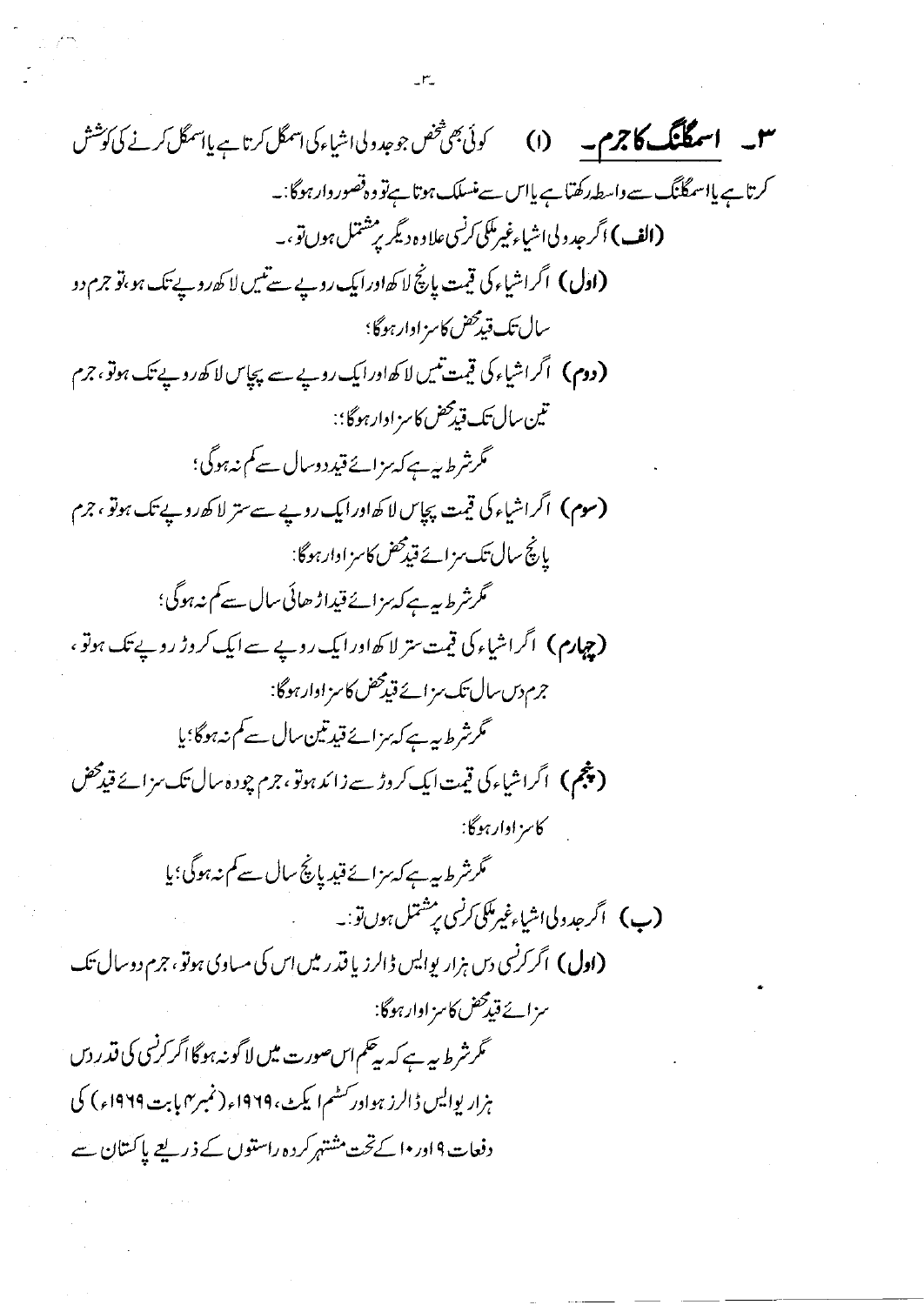43. 
$$
\begin{array}{ll}\n\mathbf{1.1} & \mathbf{2.2} & \mathbf{3.3} & \mathbf{4.4} & \mathbf{5.4} & \mathbf{6.8} & \mathbf{6.8} & \mathbf{6.8} & \mathbf{6.8} & \mathbf{6.8} & \mathbf{6.8} & \mathbf{6.8} & \mathbf{6.8} & \mathbf{6.8} & \mathbf{6.8} & \mathbf{6.8} & \mathbf{6.8} & \mathbf{6.8} & \mathbf{6.8} & \mathbf{6.8} & \mathbf{6.8} & \mathbf{6.8} & \mathbf{6.8} & \mathbf{6.8} & \mathbf{6.8} & \mathbf{6.8} & \mathbf{6.8} & \mathbf{6.8} & \mathbf{6.8} & \mathbf{6.8} & \mathbf{6.8} & \mathbf{6.8} & \mathbf{6.8} & \mathbf{6.8} & \mathbf{6.8} & \mathbf{6.8} & \mathbf{6.8} & \mathbf{6.8} & \mathbf{6.8} & \mathbf{6.8} & \mathbf{6.8} & \mathbf{6.8} & \mathbf{6.8} & \mathbf{6.8} & \mathbf{6.8} & \mathbf{6.8} & \mathbf{6.8} & \mathbf{6.8} & \mathbf{6.8} & \mathbf{6.8} & \mathbf{6.8} & \mathbf{6.8} & \mathbf{6.8} & \mathbf{6.8} & \mathbf{6.8} & \mathbf{6.8} & \mathbf{6.8} & \mathbf{6.8} & \mathbf{6.8} & \mathbf{6.8} & \mathbf{6.8} & \mathbf{6.8} & \mathbf{6.8} & \mathbf{6.8} & \mathbf{6.8} & \mathbf{6.8} & \mathbf{6.8} & \mathbf{6.8} & \mathbf{6.8} & \mathbf{6.8} & \mathbf{6.8} & \mathbf{6.8} & \mathbf{6.8} & \mathbf{6.8} & \mathbf{6.8} & \mathbf{6.8} & \mathbf{6.8} & \mathbf{6.8} & \mathbf{6.8} & \mathbf{6.8} & \mathbf{6.8} & \mathbf{6.8} & \mathbf{6.8} & \
$$

 $\label{eq:2} \mathcal{L}_{\text{max}} = \frac{1}{2} \sum_{i=1}^{N} \frac{1}{2} \sum_{i=1}^{N} \frac{1}{2} \sum_{i=1}^{N} \frac{1}{2} \sum_{i=1}^{N} \frac{1}{2} \sum_{i=1}^{N} \frac{1}{2} \sum_{i=1}^{N} \frac{1}{2} \sum_{i=1}^{N} \frac{1}{2} \sum_{i=1}^{N} \frac{1}{2} \sum_{i=1}^{N} \frac{1}{2} \sum_{i=1}^{N} \frac{1}{2} \sum_{i=1}^{N} \frac{1}{2} \sum_{i=1}$ 

 $\label{eq:2} \frac{1}{\sqrt{2}}\int_{\mathbb{R}^3} \frac{1}{\sqrt{2}}\,d\mu\,d\mu\,.$ 

 $\label{eq:2} \frac{1}{\sqrt{2}}\sum_{i=1}^n\frac{1}{\sqrt{2}}\sum_{j=1}^n\frac{1}{j!}\sum_{j=1}^n\frac{1}{j!}\sum_{j=1}^n\frac{1}{j!}\sum_{j=1}^n\frac{1}{j!}\sum_{j=1}^n\frac{1}{j!}\sum_{j=1}^n\frac{1}{j!}\sum_{j=1}^n\frac{1}{j!}\sum_{j=1}^n\frac{1}{j!}\sum_{j=1}^n\frac{1}{j!}\sum_{j=1}^n\frac{1}{j!}\sum_{j=1}^n\frac{1}{j!}\sum_{j=1}^$ 

 $\label{eq:2} \frac{1}{\sqrt{2}}\left(\frac{1}{\sqrt{2}}\right)^{2} \left(\frac{1}{\sqrt{2}}\right)^{2} \left(\frac{1}{\sqrt{2}}\right)^{2} \left(\frac{1}{\sqrt{2}}\right)^{2} \left(\frac{1}{\sqrt{2}}\right)^{2} \left(\frac{1}{\sqrt{2}}\right)^{2} \left(\frac{1}{\sqrt{2}}\right)^{2} \left(\frac{1}{\sqrt{2}}\right)^{2} \left(\frac{1}{\sqrt{2}}\right)^{2} \left(\frac{1}{\sqrt{2}}\right)^{2} \left(\frac{1}{\sqrt{2}}\right)^{2} \left(\frac{$ 

 $\frac{1}{2} \frac{1}{2} \frac{1}{2} \frac{d^2}{dx^2}$ 

 $\frac{1}{2}$ 

 $\label{eq:2.1} \frac{1}{\sqrt{2\pi}}\int_{0}^{\infty} \frac{1}{\sqrt{2\pi}}\,d\mu\,d\mu\,.$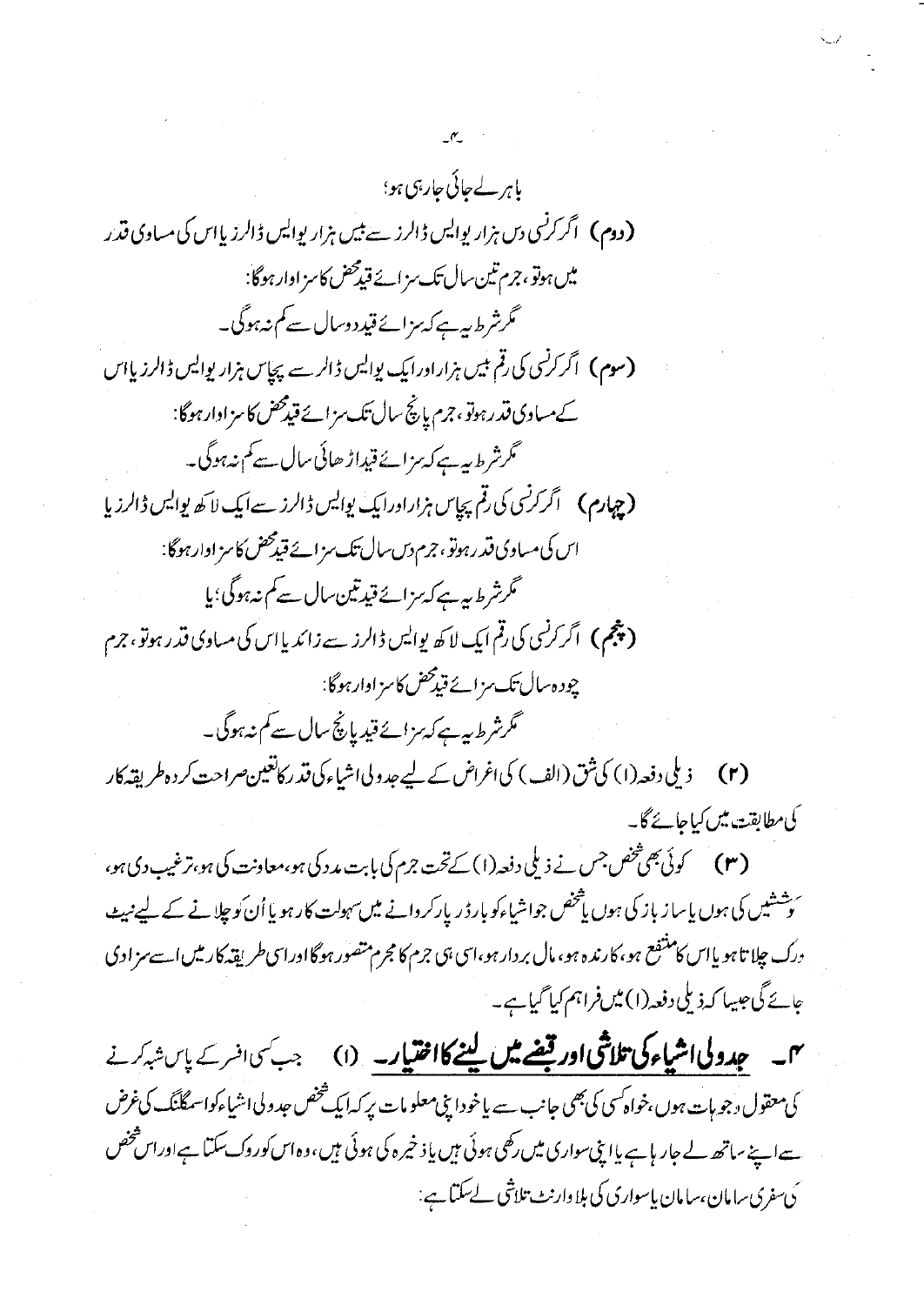باہر لے جائی جارہی ہو؛ **(دوم)** اگر کرنسی دس ہزار پوایس ڈالرز سے بیں ہزار پوایس ڈالرز پااس کی مساوی قدر میں ہوتو ، جرم تین سال تک سز ائے قیدمحض کاسز اوار ہوگا: گرشرط بیہ ہے کہ مزائے قید دوسال سے کم نہ ہوگی۔ (سوم) اگر کرنسی کی رقم بیس ہزارادرایک بوایس ڈالر سے پچاس ہزار یوایس ڈالرزیااس کے مبادی قدرہوتو، جرم پانچ سال تک سزائے قیدمحض کا سزادارہوگا: گرشرط بیہ ہے کہ مزائے قیداڑ ھائی سال ہے کم نہ ہوگی۔ اس کی مساوی قدرہوتو، جرم دس سال تک سز ائے قیدمحض کاسز اوارہوگا: گرشرط بیہ ہے کہ مزائے قیدتین سال سے کم نہ ہوگی؛ یا **(چنجم)** اگر کر<sup>نس</sup>ی کی رقم ایک لا کھ پوالیں ڈالرز سے زائد پا اس کی مساوی قدر ہوتو ، جرم چودہ سال تک مزائے قید محض کا سز اوار ہوگا: گرشرط ہیے کہ ہزائے قیدیانچ سال سے کم نہ ہوگی۔

کی مطابقت میں کیاجائے گا۔

(۳) کوئی بھی څنص جس نے ذیلی دفعہ (۱) کے تحت جرم کی بابت مد دکی ہو،معاونت کی ہو،ترغیب دی ہو، ئ<sup>ے</sup>شتیں کی ہوں پاساز باز کی ہوں ی<sup>فت</sup>خص جواشیاءکو بارڈر یارکردانے میںسہولت کار ہو یا اُن کو چلانے کے لیے نہیے درک جلا تاہو یااس کامنتفع ہو،کارندہ ہو، مال بر دار ہو،اسی بی جرم کا مجرم متصور ہوگااوراسی طریقہ کار میں اسے سزاوی عائے گی جیسا کہ ذیلی دفعہ(۱) میں فراہم کیا گیا ہے۔

میں **۔ جدولی اشیاءکی تلاشی اور قیضے میں لینے کااختیار۔** (۱) جب سی افسر کے پاس شہر نے کی معقول دجو ہات ہوں،خواہ کسی کی بھی جانب سے یاخودا بنی معلومات پر کہ ایک شخص جدولی اشیاءکواسمگلنگ کی غرض ہےاپنے ساتھ لے جار ہاہے یااتی سواری میں رکھی ہوئی ہیں یا ذخیرہ کی ہوئی ہیں،وہ اس کوروک سکتا ہےاوراس څخص ى سفرى سامان،سامان پاسوارى كى بلا وارنٹ تلاشى لے سكتاہے: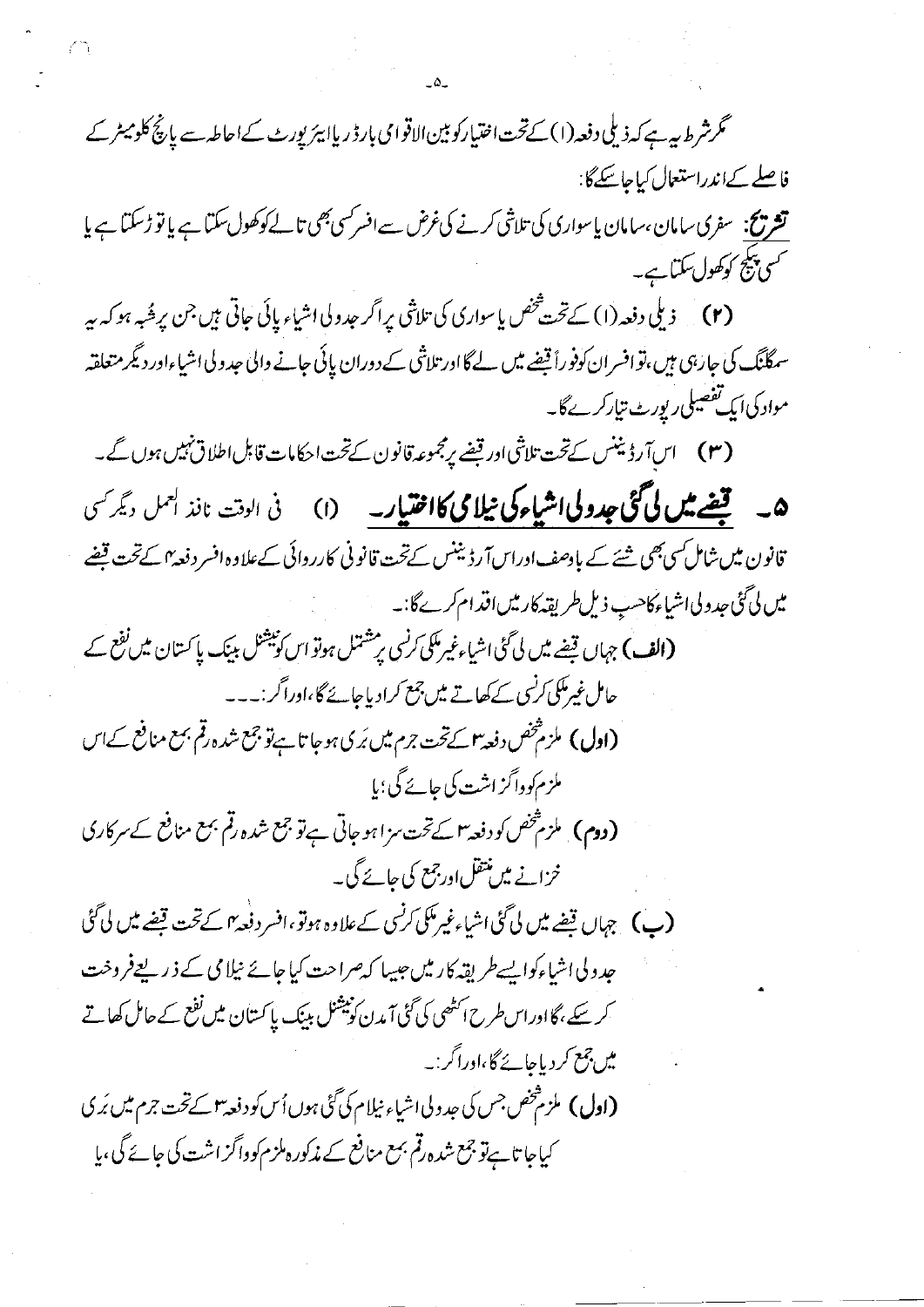گرشرط بیہ ہے کہ ذیلی دفعہ(۱) کےتحت اختیارکو بین الاقوامی بارڈ ریاا ہیڑیورٹ کےاحاطہ سے یانچ کلومیٹر کے فاصلے کےاندراستعال کیاجاسکےگا: **تشریح:** سفری سامان ،سامان پاسواری کی تلاشی کرنے کی *غرض سے افسرکسی بھی تالے کوکھ*ول سکتا ہے یا تو ڑسکتا ہے یا *کسی پیلج کوکھ*ول سکتا ہے۔ (۲) \_ ذيلي دفعه (۱) كےتخت شخص ياسواري كي تلاشي براگر حدولي اشياء پائي حاتي ہيں جن بر حُبہ ہو كہ ہير سمگانگ کی جارہی ہیں،توافسران کوفوراً قیضے میں لے گااور تلاشی کے دوران پائی جانے والی حدولی اشیاءاور دیگر متعلقہ مواد کی ایک تفصیلی رپورٹ تیارکرےگا۔ (۳) اس آر ڈیننس کےتحت تلاشی اور قیضے پرمجموعہ قانون کےتحت احکامات قابل اطلاق نہیں ہوں گے۔ **۵۔ قیضے میں لی گئی جدولی اشیاء کی نیلا می کااختیار۔** (۱) فی الوقت نافذ ال<sup>عمل دیگر کسی</sup> قانون میں شامل سی بھی شئے کے بادصف اوراس آرڈ نینس کےتحت قانونی کارروائی کےعلاوہ افسر دفعہ ٗ کےتحت قبضے میں لی گئی جدولی اشیاء کاحب ذیل طریقہ کارمیں اقدام کرےگا۔۔ (الف) جہاں قیضے میں لی گئی اشیاءغیرمکی کرنسی پر مشتمل ہوتو اس کونیشنل بینک پا کستان میں نفع کے حامل غیرمکی کرنسی کے کھاتے میں جمع کرادیاجائے گا،اوراگر :۔۔۔ (**اول)** ملزم<sup>فخ</sup>ص دفعہ *۳ کے تخت جرم میں بُر*ی ہوجا تاہےتو جمع شدہ رقم بمع منافع کےاس ملزم کوداگز اشت کی جائے گی؛با **(دوم)** ، ملزم *تخص ک*و دفعہ *۳ کے تحت مز*اہو جاتی ہے تو جمع شدہ رقم بہع منافع *کے مر*کاری خزانے میں منتقل اورجمع کی جائے گی۔ (پ) جہاں قیضے میں لی گئی اشیاءغیرمکی کرنسی کے علاوہ ہوتو،افسر دفعہ ہی سے تحت قیضے میں لی گئی جدو لی اشیاءکوا بسےطر بقہ کار میں جیپیا کہ صراحت کیا جائے نیلا می کے ذیر بعےفروخت کر سکے ،گااوراس طرح اسٹھی کی گئی آمدن کونیشنل بینک پاکستان میں نفع کے حامل کھاتے میں جمع کر دیاجائے گا،اوراگر :۔ کیاجا تا ہےتو جمع شدہ رقم بمع منافع کے مذکور ہلزم کوواگز اشت کی جائے گی ،پا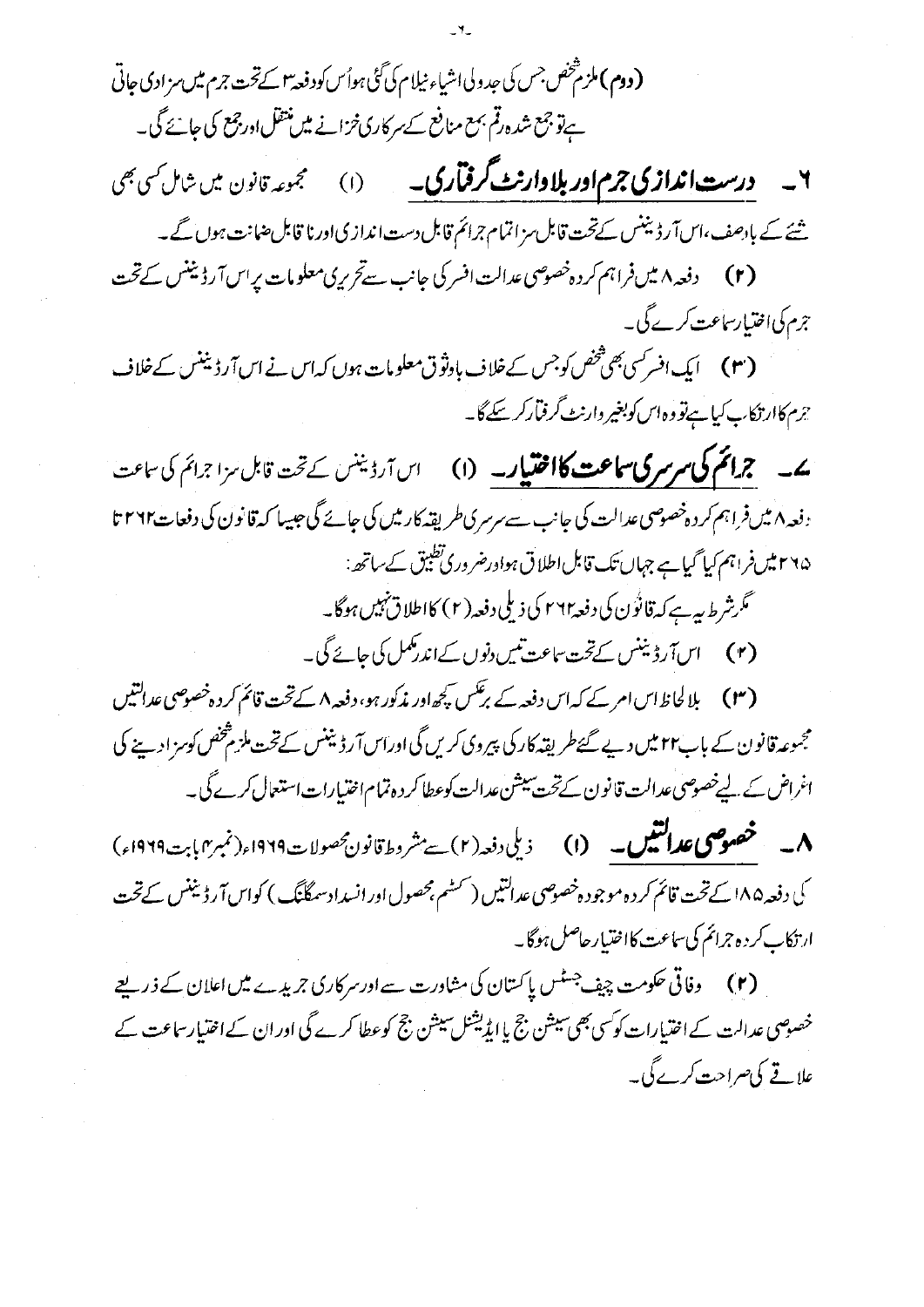۲۔ درست اندازی جرم اور بلاوارنٹ گرفتاری۔ (۱) مجموعہ قانون میں شامل <sub>ک</sub>ی بھی

شئے کے بادھف،اس آرڈیننس کےتحت قابل مزاتمام جرائم قابل دست اندازی اورنا قابل ضانت ہوں گے۔ (۲) دفعه ۸ میںفراہم کردہ خصوصی عدالت افسر کی جانب سےتحریری معلومات پراس آرڈیننس کےتحت جرم کی اختیار ساعت کرے گی۔

(۳) ایک افسر کسی بھی تخص کوجس کے خلاف باوثوق معلومات ہوں کہاس نے اس آرڈیننس کے خلاف جرم کاارتکاب کیا ہےتووہ اس کوبغیر دارنٹ گرفیآرکر سکے گا۔

**ے۔ جرائم کی سرسر کی ساعت کااختیار۔** (۱) اس آرڈینس کے تحت قابل سزا جرائم کی ساعت دفعہ ۸ میںفراہم کر دہ خصوصی عدالت کی جانب سے سرسری طریقہ کارمیں کی جائے گی جیسا کہ قانون کی دفعات ۲۶۶۳ ۲۶۵ میں فراہم کیا گیا ہے جہاں تک قابل اطلاق ہوادرضر وری تطبیق کے ساتھ :

گرشرط بیہ ہے کہ قانُوں کی دفعہ ۲۶۲ کی ذیلی دفعہ (۲) کااطلاق نہیں ہوگا۔ (۲) اس آرڈیننس کےتحت ساعت تی<u>س دنوں کےاندرمکمل کی جائے گی۔</u>

(۲۳) بلالحاظ اس امر کے کہ اس دفعہ کے برگس کچھ اور مذکور ہو، دفعہ ۸ کے تحت قائم کر دہ خصوصی عدالتیں مجسوعہ قانون کے باب۲۲ میں دیے گئےطر پقہ کار کی پیروی کریں گی اوراس آر ڈیننس کےتحت ملزم پخض کوسز ادے کی اغراض کے لیےخصوصی عدالت قانون کےتخت سیشن عدالت کوعطا کر دہ تمام اختیارات استعال کرے گی۔

**۸۔ خصوصی عدالتیں۔ (۱)** ذیلی دفعہ (۲) ہے مشروط قانون محصولات ۱۹۲۹ء (نمبر۲) بت۱۹۲۹ء) کی دفعہ ۱۸۵ کے تحت قائم کر دہ موجودہ خصوصی عدالتیں (سٹیم بحصول اور انسدادسمگنگ) کواس آرڈیننس کے تحت ارتكاب كرده جرائم كى ساعت كااختيار حاصل ہوگا۔

(۲) وفاقی حکومت چیف جسٹس پاکستان کی مشاورت سے اورسر کاری جریدے میں اعلان کے ذریعے خصوصی عدالت کے اختیارات کو سی بھی سیشن جج یا ایڈیشنل سیشن جج کوعطا کرے گی اور ان کے اختیار ساعت کے علاقے کی صراحت کرے گی۔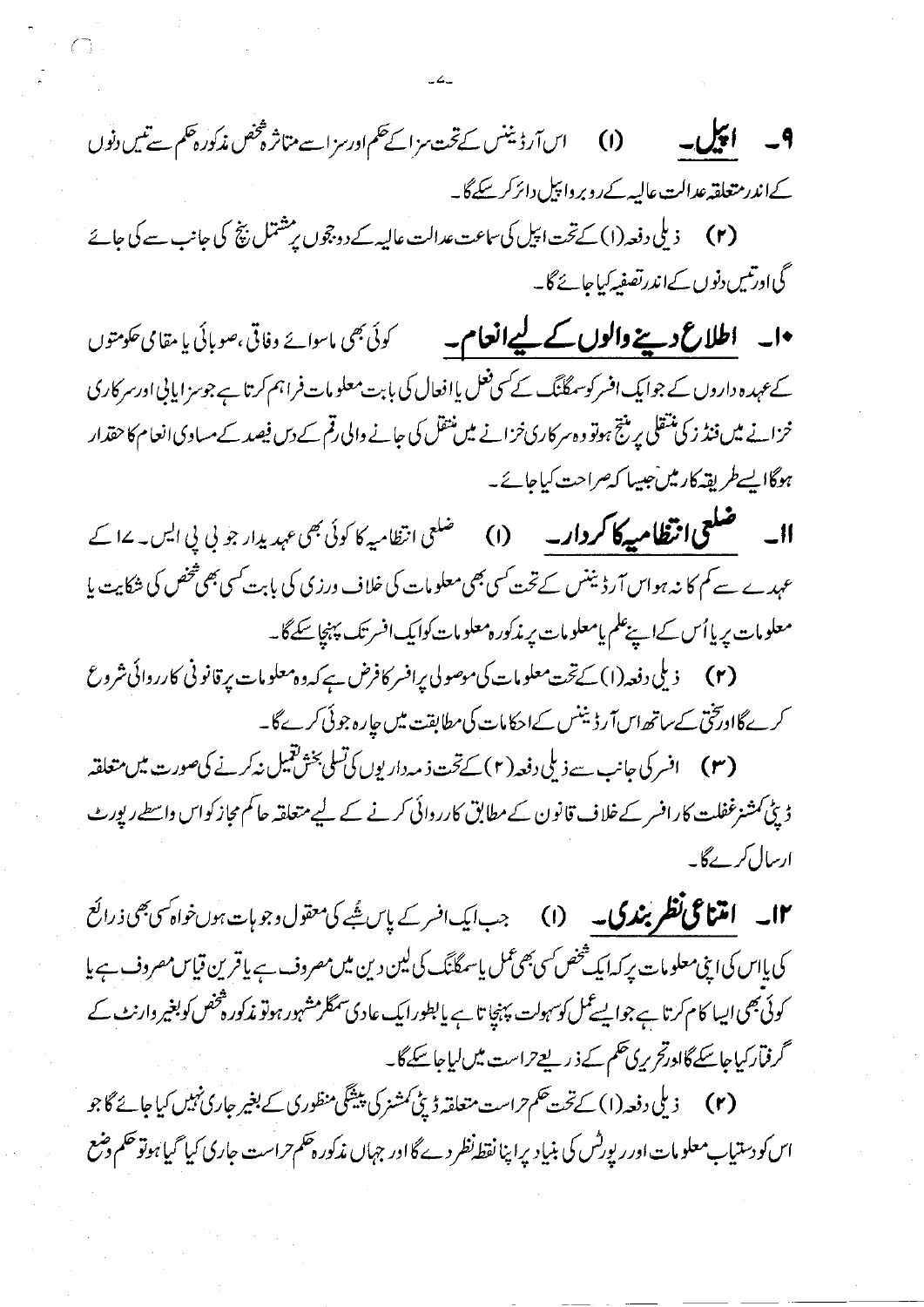$-4$ 

گی اورتیں دنوں کےاندرتصفیہ کیاجائے گا۔

•ا۔ **اطلاع دینے والوں کے لیےانعام۔** گرئی بھی ماسوائے وفاقی،صوبائی یا مقامی حکومتوں کے عہدہ داروں کے جوایک افسر کوسمطُنگ کے سی فعل یاافعال کی بابت معلومات فراہم کرتا ہے جوسز ایانی اورسر کاری خزانے میں فنڈ زکی منتقلی پر منتج ہوتو وہ سرکاری خزانے میں منتقل کی جانے والی رقم کے دس فیصد کے مساوی انعام کا حقذار ہوگاایسےطریقہ کارمیں جیپا کہ صراحت کیاجائے۔

**اا۔ ضلعی انتظامیہ کا کردار۔** (۱) ضلعی انظامیہ کا کوئی بھی عہدیدار جو پی پی ایس۔ ۱۷ کے عہدے سے کم کا نہ ہواس آرڈیننس کےتخت کمی بھی معلومات کی خلاف درزی کی بابت کسی بھی شخص کی شکایت یا معلومات پریااُس کےاپنےعلم یامعلومات پر مذکورہ معلومات کوایک افسر تک پہنچاسکےگا۔

(۲) د پلی دفعہ(۱) کےتخت معلومات کی موصولی پرافسر کافرض ہے کہ دہ معلومات پر قانونی کارروائی شروع کرےگااویخی کے ساتھ اس آرڈیننس کےاحکامات کی مطابقت میں جارہ جوئی کرےگا۔

ڈیٹی کمشنرغفلت کارافسر کے خلاف قانون کے مطابق کارروائی کرنے کے لیے متعلقہ حاکم مجاز کواس واسطے رپورٹ ارسال کرےگا۔

**۱۳۔ امتناعی تظریندی۔ (۱)** جب ایک افسر کے پاس شُپر کی معقول دجو بات ہوں خواہ کسی بھی ذرائع کی پااس کی این معلومات پر کہ ایک شخص کسی بھی عمل پاسمگنگ کی لین دین میں مصروف ہے یا قرین قیاس مصروف ہے یا کوئی بھی ایسا کام کرتا ہے جوایسے کمل کوسہولت پہنچا تا ہے یا بطورا یک عادی سمگلرمشہور ہوتو مذکورہ فتحص کوبغیر وارنٹ کے گرفمارکیاجاسکے گاادرتح ریں حکم کے ذریعے تراست میں لیاجاسکے گا۔

اس کو دستیاب معلومات اور ریورٹس کی بنیاد پراپنا نقط نظر دے گااور جہاں مذکور ہحکم حراست جاری کیا گیا ہوتو حکم دضع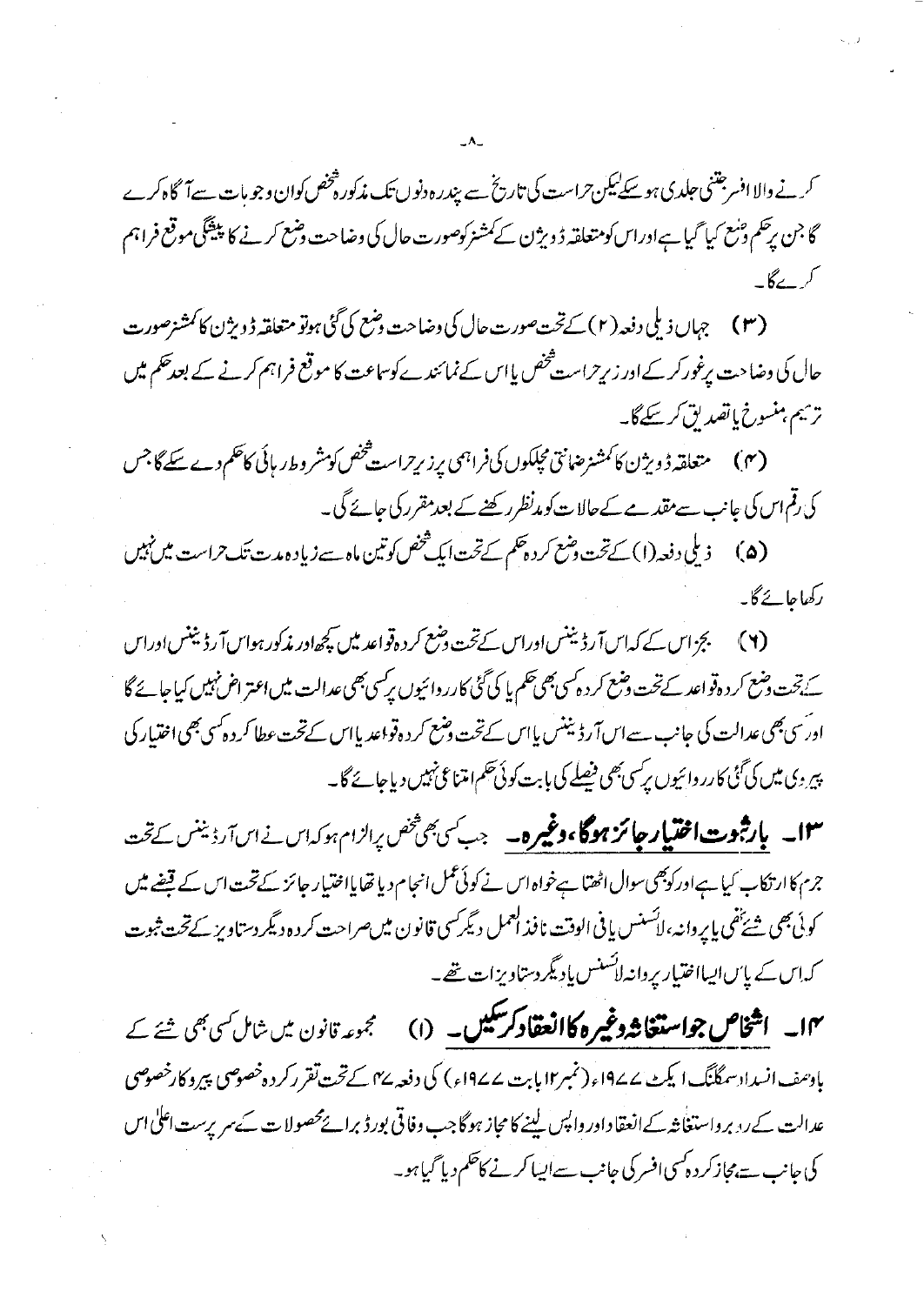کرنے والا افسر جتنی جلدی ہو سکےلیکن حراست کی تاریخ سے پندر ہ دنوں تک مذکورہ *خص ک*وان وجو مات سےآگاہ کرے گا جن برحکم ونبع کیا گیا ہےاوراس کومتعلقہ ڈویژن کے کمشنر کوصورت حال کی وضاحت ونبع کرنے کا پنشگی موقع فراہم

(۳) جہاں ذیلی دفعہ (۲) کے تحت صورت عال کی دضاحت دضع کی گئی ہوتو متعلقہ ڈ دیژن کا کمشنرصورت حال کی وضاحت برغور کر کے اور زبرِحراست فحص یااس کے نمائندے کوساعت کا موقع فراہم کرنے کے بعدحکم میں ترميم منسوخ بإتصديق كرسكے گا۔

(۴) متعلقہ ڈویژن کا کمشنرضانق مجلکوں کی فراہمی پرزیر ِ است څنص کومشر و ط ر بائی کاھم دے سکے گا جس کی رقم اس کی عانب سے مقد ہے کےحالات کو مدنظر رکھنے کے بعد مقرر کی جائے گی۔

ذیلی دفعہ(۱) کےتخت دشع کر د چکم کےتخت ایک شخص کوتین ماہ سے زیاد ہ مدت تک حراست میں نہیں  $(\triangle)$ رکھاجائے گا۔

(۲) گچ اس کے کہاسآ رڈیننساوراس کےتحت دہنم کردہ تواعد میں کچھاور مذکور ہواسآ رڈیننساوراس کے تحت دضع کر دہ قواعد کے تحت دضع کر دہ کسی بھی تھم یا کی گئی کارر دائیوں پرکسی بھی عدالت میں اعتر اض نہیں کیاجائے گا اورؔسی بھی عدالت کی جانب سےاس آرڈ بینس پاس کےتحت وضع کر دہ قواعد پااس کےتحت عطا کر دہ کسی بھی اختیار کی پیر وی میں کی گئی کارر دائیوں پر سی بھی فیصلے کی بابت کوئی حکم امتناعی نہیں دیاجائے گا۔

۱۳ \_ ب**ارثبوت اختیار جائز ہوگا،وغیرہ۔** جب *کی پھٹھن پراز*ام ہوکہاں نے اس آرڈینس کے تحت جرم کاار تکاب کیا ہےاور کوبھی سوال اٹھتا ہےخواہ اس نے کوئی عمل انحام دیا تھایااختیار جائز کے تحت اس کے قیضے میں كوئي بھي شي<sup>ئق</sup>ي پاير دانہ، لائسنس پافي الوقت نافذ ا<sup>لع</sup>مل ديگر کسي قانون ميں صراحت کردہ ديگر دستاويز کے تحت ثبوت کہاس کے پاس ایسااختیار پروانہ لائسنس پادیگر دستاویزات تھے۔

۱۴۔ ا**شخاص جواستغاثہ دغیرہ کاانعقادکر سکیں۔** (۱) گجموعہ قانون میں شامل <sub>کئ</sub>ی جی شئے کے بادسف انسداد سمگلنگ ایکٹ ۱۹۷۷ء (نمبر۱۲ پابت ۱۹۷۷ء) کی دفعہ ۴۷ کے تحت تقرر کردہ خصوصی پیرو کارخصوص عدالت کےرنہ برواستغا نثہ کےانعقادادر داپس لینے کا مجاز ہوگاجب وفاقی بورڈ برائےمحصولات کے سرپرست اعلیٰ اس کی جانب سے بمجازکر د ہ<sup>ی</sup>سی افسر کی جانب سےایسا کرنے کا<sup>تھ</sup>م دیا گیا ہو۔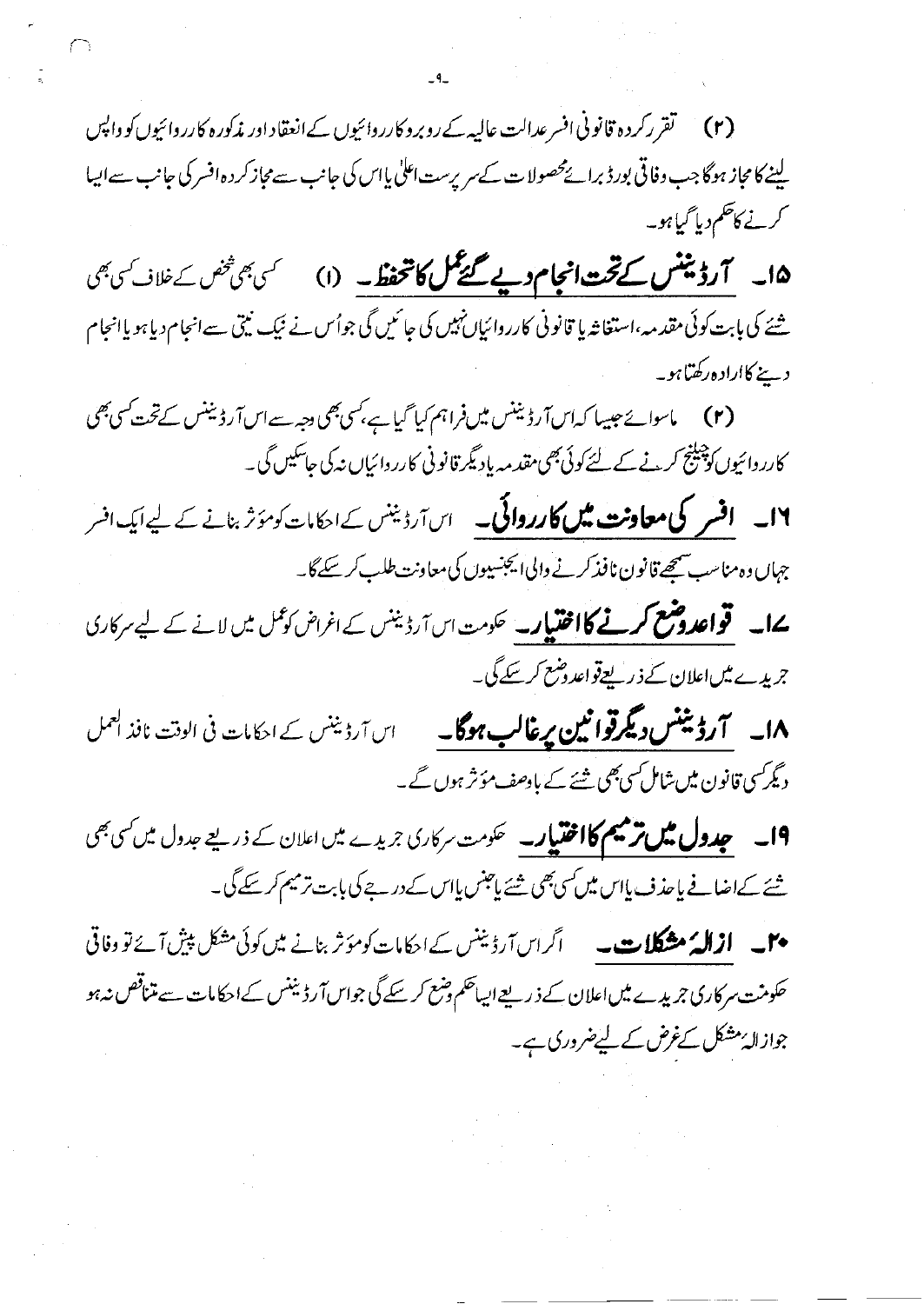(۲) گقرر کردہ قانونی افسر عدالت عالیہ کے روبرو کارروائیوں کے انعقاد اور مذکورہ کارروائیوں کو واپس لینے کا مجاز ہوگا جب وفاقی بورڈ برائےمحصولات کے سرپرست اعلٰی یااس کی جانب سے مجاز کر دہ افسر کی جانب سے ایسا کرنے کاظم دیا گیاہو۔

۱۵۔ اگرڈینٹس کے تحت انجام دیے گئے گل کا تحفظ۔ (۱) گریجی تخص کے خلاف کریجی شئے کی بابت کوئی مقدمہ،استغاثہ یا قانونی کارروائیاں نہیں کی جائمیں گی جواُس نے نیک نیتی سےانجام دیاہو یاانجام دینے کااراد ہ رکھتاہو۔

(۲) ماسوائے جیسا کہ اس آرڈیننس میں فراہم کیا گیا ہے، کسی بھی دجہ سے اس آرڈیننس کے تحت کسی بھی کارروائیوں کو پیلنج کرنے کے لئے کوئی بھی مقدمہ باد ٹیکر قانونی کارروائیاں نہ کی جاسکیں گی ۔

۱۶۔ **افسر کی معاونت میں کارروائی۔** اس آرڈینس کے احکامات کومؤثر بنانے کے لیے ایک افسر جہاں دہ مناسب سیمجھ قانون نافذ کرنے والی ایجنسیوں کی معاونت طلب کر سکے گا۔

**ےا۔ قواعدوضع کرنے کااختیار۔** حکومت اس آرڈیننس کے اغراض کوعمل میں لانے کے لیے سرکاری جریدے میںاعلان کے ذریعےقواعد وضع کرسکے گی۔

۱۸۔ **۲رڈینٹس دیگرقوائین پرغالب ہوگا۔** اس آرڈینٹس کے احکامات فی الوقت نافذ ا<sup>یم</sup>ل دیگر کسی قانون میں شامل کسی بھی شئے کے بادھف مؤثر ہوں گے۔

1**۹۔ چدول میں ترمیم کااختیار۔** حکومت سرکاری جریدے میں اعلان کے ذریعے جدول میں کسی بھی شئے کےاضافے پاحذف پااس میں سی بھی شئے پاجنس پااس کے درجے کی بابت ترمیم کر سکے گی۔

**میں ازالہُ مشکلات۔** اگراس <sub>آرڈ</sub>ینس کے احکامات کومؤثر بنانے میں کوئی مشکل پیش آئے تو وفاقی حکومنت سرکاری جریدے میںاعلان کے ذریعےالیاحکم دضع کرسکے گی جواس آرڈیننس کےاحکامات سے متناقص نہ ہو جوازالۂ مشکل کےغرض کے لیےضروری ہے۔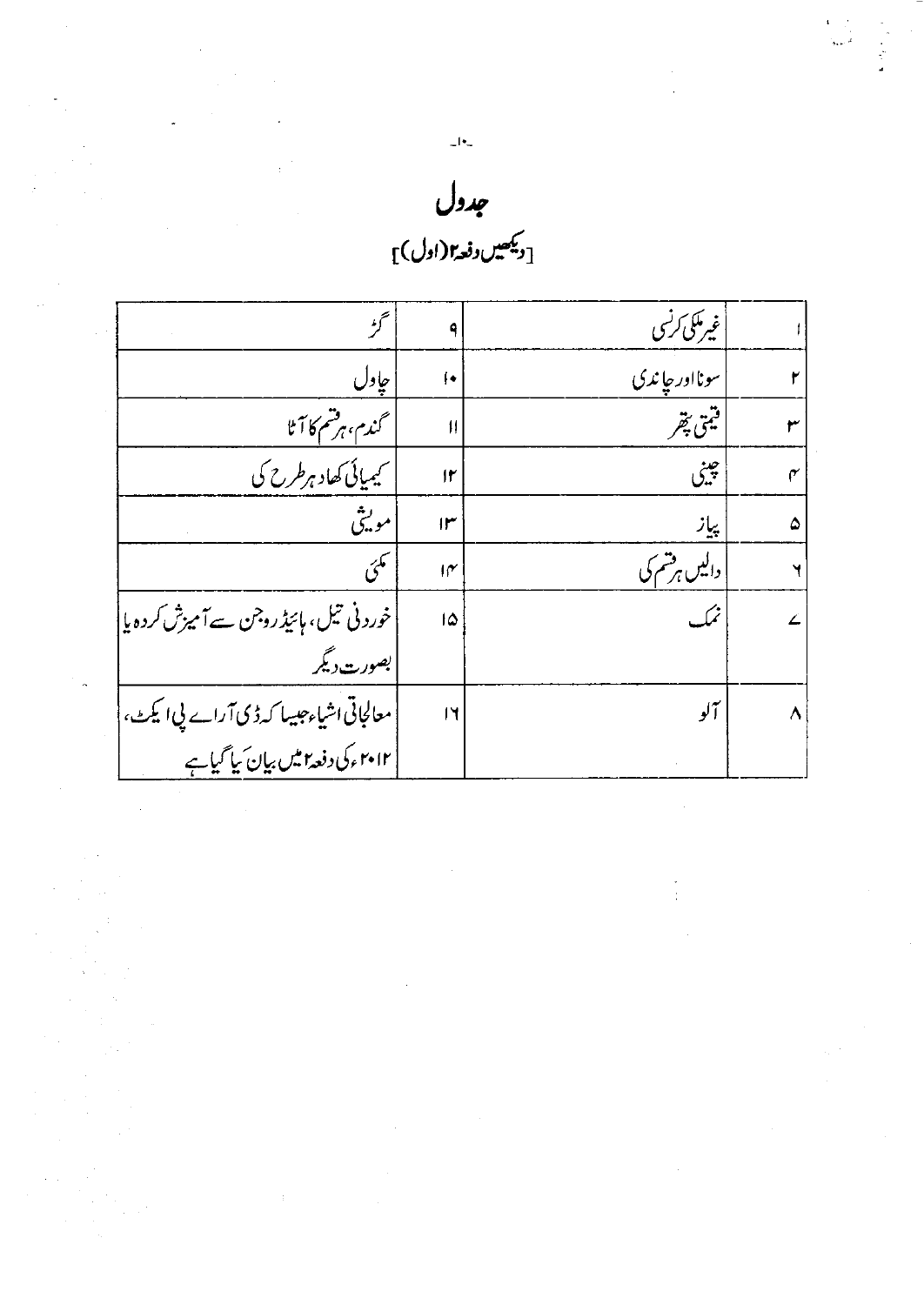| $ \cdot$ $-$                                |
|---------------------------------------------|
| جدول                                        |
| $\mathbb{C}$ دیکھیں دفعہ (اول) $\mathbb{C}$ |

 $\begin{aligned} \mathbf{A} &= \frac{1}{2} \left( \begin{array}{cc} 1 & 0 & 0 \\ 0 & 0 & 0 \\ 0 & 0 & 0 \\ 0 & 0 & 0 \\ 0 & 0 & 0 \\ 0 & 0 & 0 \\ 0 & 0 & 0 \\ 0 & 0 & 0 \\ 0 & 0 & 0 \\ 0 & 0 & 0 \\ 0 & 0 & 0 \\ 0 & 0 & 0 \\ 0 & 0 & 0 \\ 0 & 0 & 0 \\ 0 & 0 & 0 \\ 0 & 0 & 0 \\ 0 & 0 & 0 \\ 0 & 0 & 0 \\ 0 & 0 & 0 \\ 0 & 0 & 0 \\ 0 & 0 & 0 \\ 0$ 

 $\frac{d\mathbf{r}}{dt} = \frac{1}{2} \left( \begin{array}{cc} \frac{d\mathbf{r}}{dt} & \frac{d\mathbf{r}}{dt} \\ \frac{d\mathbf{r}}{dt} & \frac{d\mathbf{r}}{dt} \\ \frac{d\mathbf{r}}{dt} & \frac{d\mathbf{r}}{dt} \\ \frac{d\mathbf{r}}{dt} & \frac{d\mathbf{r}}{dt} \\ \frac{d\mathbf{r}}{dt} & \frac{d\mathbf{r}}{dt} \\ \frac{d\mathbf{r}}{dt} & \frac{d\mathbf{r}}{dt} \\ \frac{d\mathbf{r}}{dt} & \frac{d\mathbf$ 

|   | غیرمکی کرنسی           | ۹                         | ترء                                                                             |
|---|------------------------|---------------------------|---------------------------------------------------------------------------------|
|   | سونااور چاندی          | ∤∙                        | ُ جاول                                                                          |
| ٣ | اقيتى پتھر             | $\mathbf{H}$              | گندم، ہرشم کا آٹا                                                               |
| ۴ | جيني                   | $\mathsf{I}^{\mathsf{r}}$ | ۔<br>کیمیائی کھاد ہرطرح کی                                                      |
| ۵ | پیاز                   | $\mathsf{I}^\omega$       | موٽيتي                                                                          |
|   | <u>واکیں ہ</u> ر شم کی | $\mathcal{M}$             | مگئی                                                                            |
|   |                        | 1۵                        | خوردنی تیل، ہائیڈروجن سےآمیزش کردہ یا                                           |
|   |                        |                           | بصورت دیگر                                                                      |
| Λ | آلو                    | $\mathsf{I}$              | معالجاتی اُشیاء جیسا کہ ڈی آراے پی ایکٹ، <br>  ۲۰۱۲ءکی دفعہ امیں بیان بیا گیاہے |
|   |                        |                           |                                                                                 |